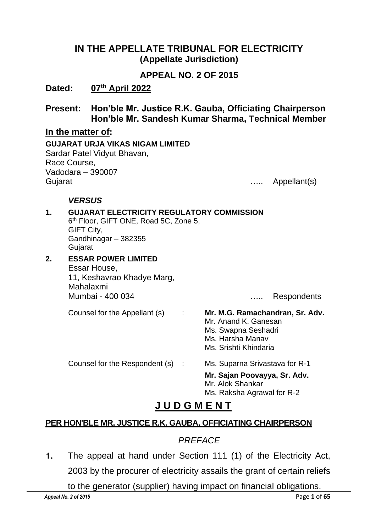### **IN THE APPELLATE TRIBUNAL FOR ELECTRICITY (Appellate Jurisdiction)**

### **APPEAL NO. 2 OF 2015**

## **Dated: 07th April 2022**

**Present: Hon'ble Mr. Justice R.K. Gauba, Officiating Chairperson Hon'ble Mr. Sandesh Kumar Sharma, Technical Member**

#### **In the matter of:**

**GUJARAT URJA VIKAS NIGAM LIMITED** Sardar Patel Vidyut Bhavan, Race Course, Vadodara – 390007 Gujarat **Example 2018** Contract 2018 Contract 2018 Contract 2018 Contract 2018 Contract 2018 Contract 2018 Contract 2018 Contract 2018 Contract 2018 Contract 2018 Contract 2018 Contract 2018 Contract 2018 Contract 2018 Con

#### *VERSUS*

| 1. | <b>GUJARAT ELECTRICITY REGULATORY COMMISSION</b><br>6 <sup>th</sup> Floor, GIFT ONE, Road 5C, Zone 5,<br>GIFT City,<br>Gandhinagar - 382355<br>Gujarat |                                                                                                                             |
|----|--------------------------------------------------------------------------------------------------------------------------------------------------------|-----------------------------------------------------------------------------------------------------------------------------|
| 2. | <b>ESSAR POWER LIMITED</b><br>Essar House,<br>11, Keshavrao Khadye Marg,<br>Mahalaxmi<br>Mumbai - 400 034                                              | <b>Respondents</b>                                                                                                          |
|    | Counsel for the Appellant (s)<br>- 11                                                                                                                  | Mr. M.G. Ramachandran, Sr. Adv.<br>Mr. Anand K. Ganesan<br>Ms. Swapna Seshadri<br>Ms. Harsha Manav<br>Ms. Srishti Khindaria |
|    | Counsel for the Respondent (s) :                                                                                                                       | Ms. Suparna Srivastava for R-1<br>Mr. Sajan Poovayya, Sr. Adv.<br>Mr. Alok Shankar<br>Ms. Raksha Agrawal for R-2            |

# **J U D G M E N T**

## **PER HON'BLE MR. JUSTICE R.K. GAUBA, OFFICIATING CHAIRPERSON**

## *PREFACE*

**1.** The appeal at hand under Section 111 (1) of the Electricity Act, 2003 by the procurer of electricity assails the grant of certain reliefs

to the generator (supplier) having impact on financial obligations.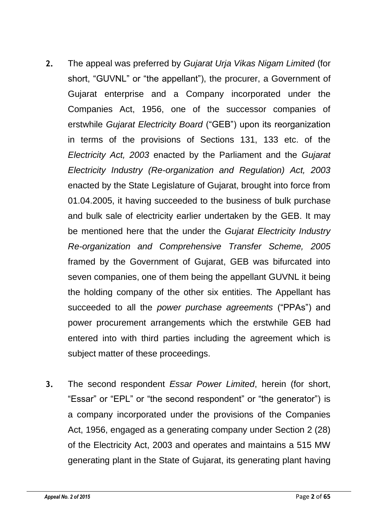- **2.** The appeal was preferred by *Gujarat Urja Vikas Nigam Limited* (for short, "GUVNL" or "the appellant"), the procurer, a Government of Gujarat enterprise and a Company incorporated under the Companies Act, 1956, one of the successor companies of erstwhile *Gujarat Electricity Board* ("GEB") upon its reorganization in terms of the provisions of Sections 131, 133 etc. of the *Electricity Act, 2003* enacted by the Parliament and the *Gujarat Electricity Industry (Re-organization and Regulation) Act, 2003* enacted by the State Legislature of Gujarat, brought into force from 01.04.2005, it having succeeded to the business of bulk purchase and bulk sale of electricity earlier undertaken by the GEB. It may be mentioned here that the under the *Gujarat Electricity Industry Re-organization and Comprehensive Transfer Scheme, 2005* framed by the Government of Gujarat, GEB was bifurcated into seven companies, one of them being the appellant GUVNL it being the holding company of the other six entities. The Appellant has succeeded to all the *power purchase agreements* ("PPAs") and power procurement arrangements which the erstwhile GEB had entered into with third parties including the agreement which is subject matter of these proceedings.
- **3.** The second respondent *Essar Power Limited*, herein (for short, "Essar" or "EPL" or "the second respondent" or "the generator") is a company incorporated under the provisions of the Companies Act, 1956, engaged as a generating company under Section 2 (28) of the Electricity Act, 2003 and operates and maintains a 515 MW generating plant in the State of Gujarat, its generating plant having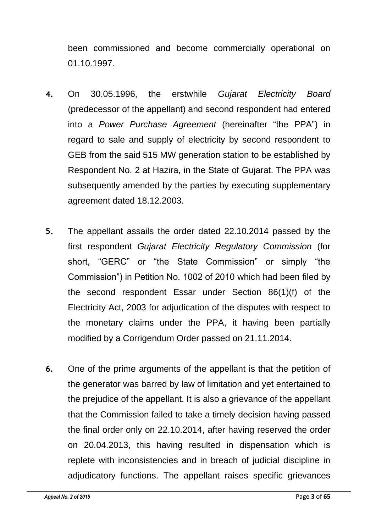been commissioned and become commercially operational on 01.10.1997.

- **4.** On 30.05.1996, the erstwhile *Gujarat Electricity Board* (predecessor of the appellant) and second respondent had entered into a *Power Purchase Agreement* (hereinafter "the PPA") in regard to sale and supply of electricity by second respondent to GEB from the said 515 MW generation station to be established by Respondent No. 2 at Hazira, in the State of Gujarat. The PPA was subsequently amended by the parties by executing supplementary agreement dated 18.12.2003.
- **5.** The appellant assails the order dated 22.10.2014 passed by the first respondent *Gujarat Electricity Regulatory Commission* (for short, "GERC" or "the State Commission" or simply "the Commission") in Petition No. 1002 of 2010 which had been filed by the second respondent Essar under Section 86(1)(f) of the Electricity Act, 2003 for adjudication of the disputes with respect to the monetary claims under the PPA, it having been partially modified by a Corrigendum Order passed on 21.11.2014.
- **6.** One of the prime arguments of the appellant is that the petition of the generator was barred by law of limitation and yet entertained to the prejudice of the appellant. It is also a grievance of the appellant that the Commission failed to take a timely decision having passed the final order only on 22.10.2014, after having reserved the order on 20.04.2013, this having resulted in dispensation which is replete with inconsistencies and in breach of judicial discipline in adjudicatory functions. The appellant raises specific grievances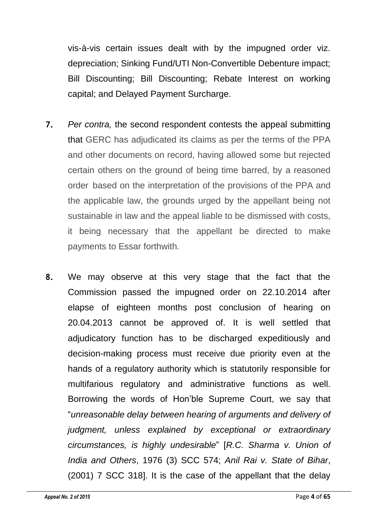vis-à-vis certain issues dealt with by the impugned order viz. depreciation; Sinking Fund/UTI Non-Convertible Debenture impact; Bill Discounting; Bill Discounting; Rebate Interest on working capital; and Delayed Payment Surcharge.

- **7.** *Per contra,* the second respondent contests the appeal submitting that GERC has adjudicated its claims as per the terms of the PPA and other documents on record, having allowed some but rejected certain others on the ground of being time barred, by a reasoned order based on the interpretation of the provisions of the PPA and the applicable law, the grounds urged by the appellant being not sustainable in law and the appeal liable to be dismissed with costs, it being necessary that the appellant be directed to make payments to Essar forthwith.
- **8.** We may observe at this very stage that the fact that the Commission passed the impugned order on 22.10.2014 after elapse of eighteen months post conclusion of hearing on 20.04.2013 cannot be approved of. It is well settled that adjudicatory function has to be discharged expeditiously and decision-making process must receive due priority even at the hands of a regulatory authority which is statutorily responsible for multifarious regulatory and administrative functions as well. Borrowing the words of Hon'ble Supreme Court, we say that "*unreasonable delay between hearing of arguments and delivery of judgment, unless explained by exceptional or extraordinary circumstances, is highly undesirable*" [*R.C. Sharma v. Union of India and Others*, 1976 (3) SCC 574; *Anil Rai v. State of Bihar*, (2001) 7 SCC 318]. It is the case of the appellant that the delay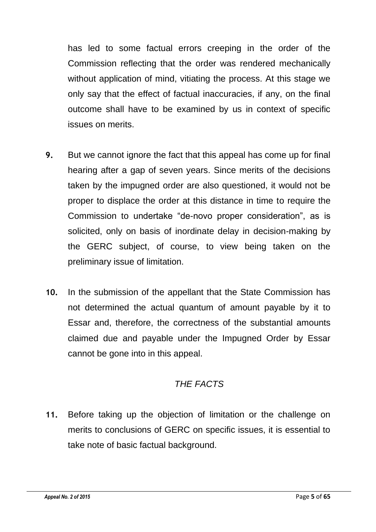has led to some factual errors creeping in the order of the Commission reflecting that the order was rendered mechanically without application of mind, vitiating the process. At this stage we only say that the effect of factual inaccuracies, if any, on the final outcome shall have to be examined by us in context of specific issues on merits.

- **9.** But we cannot ignore the fact that this appeal has come up for final hearing after a gap of seven years. Since merits of the decisions taken by the impugned order are also questioned, it would not be proper to displace the order at this distance in time to require the Commission to undertake "de-novo proper consideration", as is solicited, only on basis of inordinate delay in decision-making by the GERC subject, of course, to view being taken on the preliminary issue of limitation.
- **10.** In the submission of the appellant that the State Commission has not determined the actual quantum of amount payable by it to Essar and, therefore, the correctness of the substantial amounts claimed due and payable under the Impugned Order by Essar cannot be gone into in this appeal.

# *THE FACTS*

**11.** Before taking up the objection of limitation or the challenge on merits to conclusions of GERC on specific issues, it is essential to take note of basic factual background.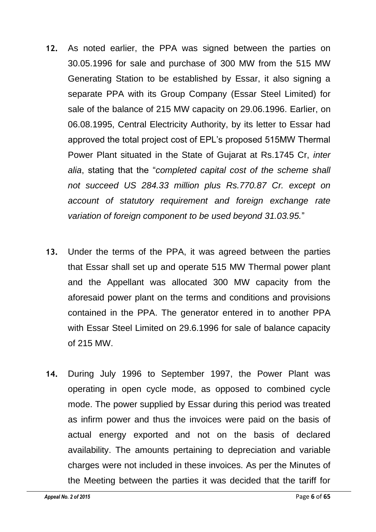- **12.** As noted earlier, the PPA was signed between the parties on 30.05.1996 for sale and purchase of 300 MW from the 515 MW Generating Station to be established by Essar, it also signing a separate PPA with its Group Company (Essar Steel Limited) for sale of the balance of 215 MW capacity on 29.06.1996. Earlier, on 06.08.1995, Central Electricity Authority, by its letter to Essar had approved the total project cost of EPL's proposed 515MW Thermal Power Plant situated in the State of Gujarat at Rs.1745 Cr, *inter alia*, stating that the "*completed capital cost of the scheme shall not succeed US 284.33 million plus Rs.770.87 Cr. except on account of statutory requirement and foreign exchange rate variation of foreign component to be used beyond 31.03.95.*"
- **13.** Under the terms of the PPA, it was agreed between the parties that Essar shall set up and operate 515 MW Thermal power plant and the Appellant was allocated 300 MW capacity from the aforesaid power plant on the terms and conditions and provisions contained in the PPA. The generator entered in to another PPA with Essar Steel Limited on 29.6.1996 for sale of balance capacity of 215 MW.
- **14.** During July 1996 to September 1997, the Power Plant was operating in open cycle mode, as opposed to combined cycle mode. The power supplied by Essar during this period was treated as infirm power and thus the invoices were paid on the basis of actual energy exported and not on the basis of declared availability. The amounts pertaining to depreciation and variable charges were not included in these invoices. As per the Minutes of the Meeting between the parties it was decided that the tariff for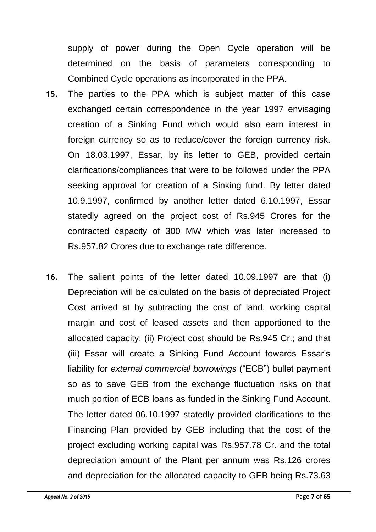supply of power during the Open Cycle operation will be determined on the basis of parameters corresponding to Combined Cycle operations as incorporated in the PPA.

- **15.** The parties to the PPA which is subject matter of this case exchanged certain correspondence in the year 1997 envisaging creation of a Sinking Fund which would also earn interest in foreign currency so as to reduce/cover the foreign currency risk. On 18.03.1997, Essar, by its letter to GEB, provided certain clarifications/compliances that were to be followed under the PPA seeking approval for creation of a Sinking fund. By letter dated 10.9.1997, confirmed by another letter dated 6.10.1997, Essar statedly agreed on the project cost of Rs.945 Crores for the contracted capacity of 300 MW which was later increased to Rs.957.82 Crores due to exchange rate difference.
- **16.** The salient points of the letter dated 10.09.1997 are that (i) Depreciation will be calculated on the basis of depreciated Project Cost arrived at by subtracting the cost of land, working capital margin and cost of leased assets and then apportioned to the allocated capacity; (ii) Project cost should be Rs.945 Cr.; and that (iii) Essar will create a Sinking Fund Account towards Essar's liability for *external commercial borrowings* ("ECB") bullet payment so as to save GEB from the exchange fluctuation risks on that much portion of ECB loans as funded in the Sinking Fund Account. The letter dated 06.10.1997 statedly provided clarifications to the Financing Plan provided by GEB including that the cost of the project excluding working capital was Rs.957.78 Cr. and the total depreciation amount of the Plant per annum was Rs.126 crores and depreciation for the allocated capacity to GEB being Rs.73.63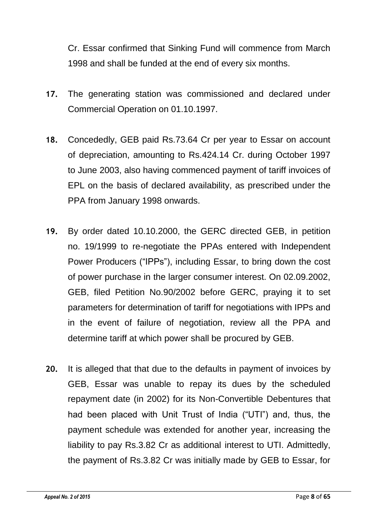Cr. Essar confirmed that Sinking Fund will commence from March 1998 and shall be funded at the end of every six months.

- **17.** The generating station was commissioned and declared under Commercial Operation on 01.10.1997.
- **18.** Concededly, GEB paid Rs.73.64 Cr per year to Essar on account of depreciation, amounting to Rs.424.14 Cr. during October 1997 to June 2003, also having commenced payment of tariff invoices of EPL on the basis of declared availability, as prescribed under the PPA from January 1998 onwards.
- **19.** By order dated 10.10.2000, the GERC directed GEB, in petition no. 19/1999 to re-negotiate the PPAs entered with Independent Power Producers ("IPPs"), including Essar, to bring down the cost of power purchase in the larger consumer interest. On 02.09.2002, GEB, filed Petition No.90/2002 before GERC, praying it to set parameters for determination of tariff for negotiations with IPPs and in the event of failure of negotiation, review all the PPA and determine tariff at which power shall be procured by GEB.
- **20.** It is alleged that that due to the defaults in payment of invoices by GEB, Essar was unable to repay its dues by the scheduled repayment date (in 2002) for its Non-Convertible Debentures that had been placed with Unit Trust of India ("UTI") and, thus, the payment schedule was extended for another year, increasing the liability to pay Rs.3.82 Cr as additional interest to UTI. Admittedly, the payment of Rs.3.82 Cr was initially made by GEB to Essar, for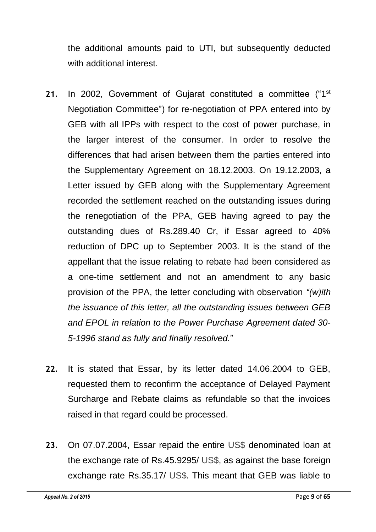the additional amounts paid to UTI, but subsequently deducted with additional interest.

- 21. In 2002, Government of Gujarat constituted a committee ("1<sup>st</sup> Negotiation Committee") for re-negotiation of PPA entered into by GEB with all IPPs with respect to the cost of power purchase, in the larger interest of the consumer. In order to resolve the differences that had arisen between them the parties entered into the Supplementary Agreement on 18.12.2003. On 19.12.2003, a Letter issued by GEB along with the Supplementary Agreement recorded the settlement reached on the outstanding issues during the renegotiation of the PPA, GEB having agreed to pay the outstanding dues of Rs.289.40 Cr, if Essar agreed to 40% reduction of DPC up to September 2003. It is the stand of the appellant that the issue relating to rebate had been considered as a one-time settlement and not an amendment to any basic provision of the PPA, the letter concluding with observation *"(w)ith the issuance of this letter, all the outstanding issues between GEB and EPOL in relation to the Power Purchase Agreement dated 30- 5-1996 stand as fully and finally resolved.*"
- **22.** It is stated that Essar, by its letter dated 14.06.2004 to GEB, requested them to reconfirm the acceptance of Delayed Payment Surcharge and Rebate claims as refundable so that the invoices raised in that regard could be processed.
- **23.** On 07.07.2004, Essar repaid the entire US\$ denominated loan at the exchange rate of Rs.45.9295/ US\$, as against the base foreign exchange rate Rs.35.17/ US\$. This meant that GEB was liable to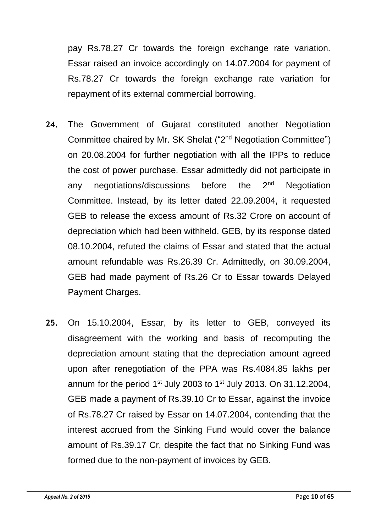pay Rs.78.27 Cr towards the foreign exchange rate variation. Essar raised an invoice accordingly on 14.07.2004 for payment of Rs.78.27 Cr towards the foreign exchange rate variation for repayment of its external commercial borrowing.

- **24.** The Government of Gujarat constituted another Negotiation Committee chaired by Mr. SK Shelat ("2<sup>nd</sup> Negotiation Committee") on 20.08.2004 for further negotiation with all the IPPs to reduce the cost of power purchase. Essar admittedly did not participate in any negotiations/discussions before the 2<sup>nd</sup> Negotiation Committee. Instead, by its letter dated 22.09.2004, it requested GEB to release the excess amount of Rs.32 Crore on account of depreciation which had been withheld. GEB, by its response dated 08.10.2004, refuted the claims of Essar and stated that the actual amount refundable was Rs.26.39 Cr. Admittedly, on 30.09.2004, GEB had made payment of Rs.26 Cr to Essar towards Delayed Payment Charges.
- **25.** On 15.10.2004, Essar, by its letter to GEB, conveyed its disagreement with the working and basis of recomputing the depreciation amount stating that the depreciation amount agreed upon after renegotiation of the PPA was Rs.4084.85 lakhs per annum for the period  $1<sup>st</sup>$  July 2003 to  $1<sup>st</sup>$  July 2013. On 31.12.2004, GEB made a payment of Rs.39.10 Cr to Essar, against the invoice of Rs.78.27 Cr raised by Essar on 14.07.2004, contending that the interest accrued from the Sinking Fund would cover the balance amount of Rs.39.17 Cr, despite the fact that no Sinking Fund was formed due to the non-payment of invoices by GEB.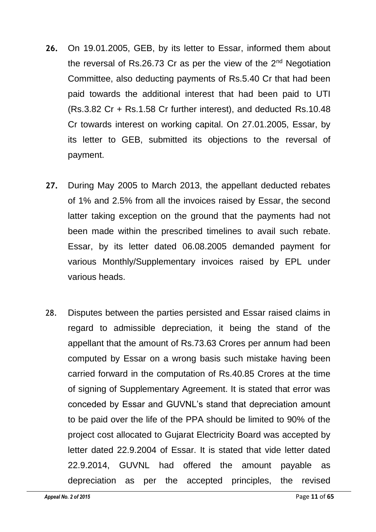- **26.** On 19.01.2005, GEB, by its letter to Essar, informed them about the reversal of Rs.26.73 Cr as per the view of the  $2^{nd}$  Negotiation Committee, also deducting payments of Rs.5.40 Cr that had been paid towards the additional interest that had been paid to UTI (Rs.3.82 Cr + Rs.1.58 Cr further interest), and deducted Rs.10.48 Cr towards interest on working capital. On 27.01.2005, Essar, by its letter to GEB, submitted its objections to the reversal of payment.
- **27.** During May 2005 to March 2013, the appellant deducted rebates of 1% and 2.5% from all the invoices raised by Essar, the second latter taking exception on the ground that the payments had not been made within the prescribed timelines to avail such rebate. Essar, by its letter dated 06.08.2005 demanded payment for various Monthly/Supplementary invoices raised by EPL under various heads.
- 28. Disputes between the parties persisted and Essar raised claims in regard to admissible depreciation, it being the stand of the appellant that the amount of Rs.73.63 Crores per annum had been computed by Essar on a wrong basis such mistake having been carried forward in the computation of Rs.40.85 Crores at the time of signing of Supplementary Agreement. It is stated that error was conceded by Essar and GUVNL's stand that depreciation amount to be paid over the life of the PPA should be limited to 90% of the project cost allocated to Gujarat Electricity Board was accepted by letter dated 22.9.2004 of Essar. It is stated that vide letter dated 22.9.2014, GUVNL had offered the amount payable as depreciation as per the accepted principles, the revised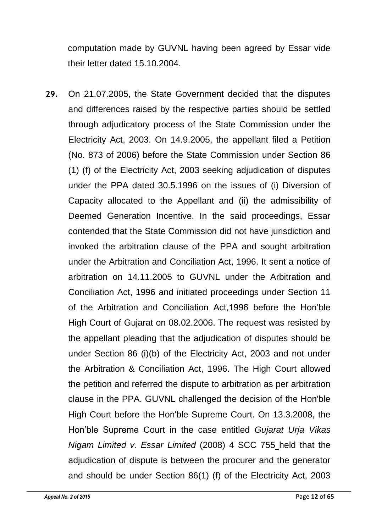computation made by GUVNL having been agreed by Essar vide their letter dated 15.10.2004.

**29.** On 21.07.2005, the State Government decided that the disputes and differences raised by the respective parties should be settled through adjudicatory process of the State Commission under the Electricity Act, 2003. On 14.9.2005, the appellant filed a Petition (No. 873 of 2006) before the State Commission under Section 86 (1) (f) of the Electricity Act, 2003 seeking adjudication of disputes under the PPA dated 30.5.1996 on the issues of (i) Diversion of Capacity allocated to the Appellant and (ii) the admissibility of Deemed Generation Incentive. In the said proceedings, Essar contended that the State Commission did not have jurisdiction and invoked the arbitration clause of the PPA and sought arbitration under the Arbitration and Conciliation Act, 1996. It sent a notice of arbitration on 14.11.2005 to GUVNL under the Arbitration and Conciliation Act, 1996 and initiated proceedings under Section 11 of the Arbitration and Conciliation Act,1996 before the Hon'ble High Court of Gujarat on 08.02.2006. The request was resisted by the appellant pleading that the adjudication of disputes should be under Section 86 (i)(b) of the Electricity Act, 2003 and not under the Arbitration & Conciliation Act, 1996. The High Court allowed the petition and referred the dispute to arbitration as per arbitration clause in the PPA. GUVNL challenged the decision of the Hon'ble High Court before the Hon'ble Supreme Court. On 13.3.2008, the Hon'ble Supreme Court in the case entitled *Gujarat Urja Vikas Nigam Limited v. Essar Limited* (2008) 4 SCC 755 held that the adjudication of dispute is between the procurer and the generator and should be under Section 86(1) (f) of the Electricity Act, 2003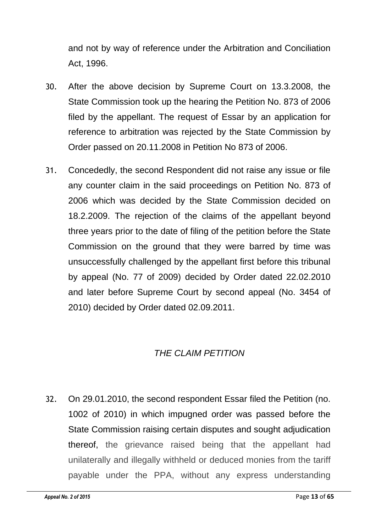and not by way of reference under the Arbitration and Conciliation Act, 1996.

- 30. After the above decision by Supreme Court on 13.3.2008, the State Commission took up the hearing the Petition No. 873 of 2006 filed by the appellant. The request of Essar by an application for reference to arbitration was rejected by the State Commission by Order passed on 20.11.2008 in Petition No 873 of 2006.
- 31. Concededly, the second Respondent did not raise any issue or file any counter claim in the said proceedings on Petition No. 873 of 2006 which was decided by the State Commission decided on 18.2.2009. The rejection of the claims of the appellant beyond three years prior to the date of filing of the petition before the State Commission on the ground that they were barred by time was unsuccessfully challenged by the appellant first before this tribunal by appeal (No. 77 of 2009) decided by Order dated 22.02.2010 and later before Supreme Court by second appeal (No. 3454 of 2010) decided by Order dated 02.09.2011.

# *THE CLAIM PETITION*

32. On 29.01.2010, the second respondent Essar filed the Petition (no. 1002 of 2010) in which impugned order was passed before the State Commission raising certain disputes and sought adjudication thereof, the grievance raised being that the appellant had unilaterally and illegally withheld or deduced monies from the tariff payable under the PPA, without any express understanding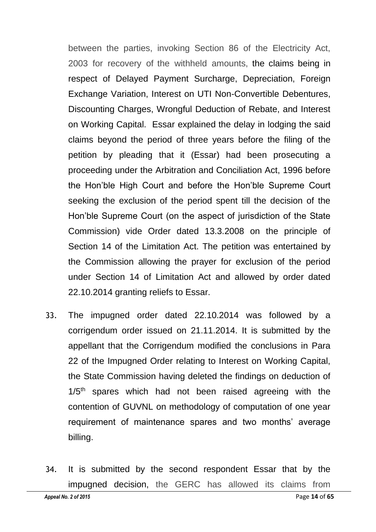between the parties, invoking Section 86 of the Electricity Act, 2003 for recovery of the withheld amounts, the claims being in respect of Delayed Payment Surcharge, Depreciation, Foreign Exchange Variation, Interest on UTI Non-Convertible Debentures, Discounting Charges, Wrongful Deduction of Rebate, and Interest on Working Capital. Essar explained the delay in lodging the said claims beyond the period of three years before the filing of the petition by pleading that it (Essar) had been prosecuting a proceeding under the Arbitration and Conciliation Act, 1996 before the Hon'ble High Court and before the Hon'ble Supreme Court seeking the exclusion of the period spent till the decision of the Hon'ble Supreme Court (on the aspect of jurisdiction of the State Commission) vide Order dated 13.3.2008 on the principle of Section 14 of the Limitation Act. The petition was entertained by the Commission allowing the prayer for exclusion of the period under Section 14 of Limitation Act and allowed by order dated 22.10.2014 granting reliefs to Essar.

- 33. The impugned order dated 22.10.2014 was followed by a corrigendum order issued on 21.11.2014. It is submitted by the appellant that the Corrigendum modified the conclusions in Para 22 of the Impugned Order relating to Interest on Working Capital, the State Commission having deleted the findings on deduction of 1/5<sup>th</sup> spares which had not been raised agreeing with the contention of GUVNL on methodology of computation of one year requirement of maintenance spares and two months' average billing.
- 34. It is submitted by the second respondent Essar that by the impugned decision, the GERC has allowed its claims from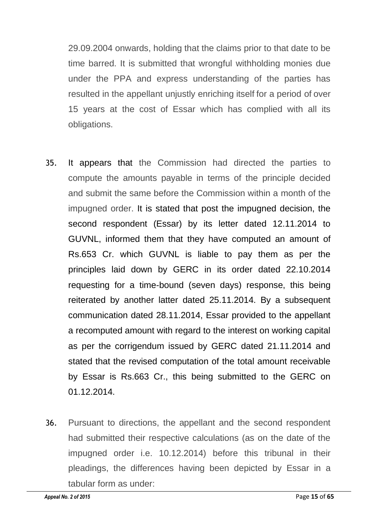29.09.2004 onwards, holding that the claims prior to that date to be time barred. It is submitted that wrongful withholding monies due under the PPA and express understanding of the parties has resulted in the appellant unjustly enriching itself for a period of over 15 years at the cost of Essar which has complied with all its obligations.

- 35. It appears that the Commission had directed the parties to compute the amounts payable in terms of the principle decided and submit the same before the Commission within a month of the impugned order. It is stated that post the impugned decision, the second respondent (Essar) by its letter dated 12.11.2014 to GUVNL, informed them that they have computed an amount of Rs.653 Cr. which GUVNL is liable to pay them as per the principles laid down by GERC in its order dated 22.10.2014 requesting for a time-bound (seven days) response, this being reiterated by another latter dated 25.11.2014. By a subsequent communication dated 28.11.2014, Essar provided to the appellant a recomputed amount with regard to the interest on working capital as per the corrigendum issued by GERC dated 21.11.2014 and stated that the revised computation of the total amount receivable by Essar is Rs.663 Cr., this being submitted to the GERC on 01.12.2014.
- 36. Pursuant to directions, the appellant and the second respondent had submitted their respective calculations (as on the date of the impugned order i.e. 10.12.2014) before this tribunal in their pleadings, the differences having been depicted by Essar in a tabular form as under: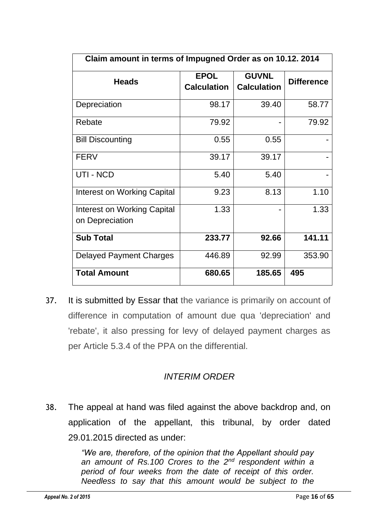| Claim amount in terms of Impugned Order as on 10.12. 2014 |                                   |                                    |                   |  |  |  |
|-----------------------------------------------------------|-----------------------------------|------------------------------------|-------------------|--|--|--|
| <b>Heads</b>                                              | <b>EPOL</b><br><b>Calculation</b> | <b>GUVNL</b><br><b>Calculation</b> | <b>Difference</b> |  |  |  |
| Depreciation                                              | 98.17                             | 39.40                              | 58.77             |  |  |  |
| Rebate                                                    | 79.92                             |                                    | 79.92             |  |  |  |
| <b>Bill Discounting</b>                                   | 0.55                              | 0.55                               |                   |  |  |  |
| <b>FERV</b>                                               | 39.17                             | 39.17                              |                   |  |  |  |
| UTI - NCD                                                 | 5.40                              | 5.40                               |                   |  |  |  |
| Interest on Working Capital                               | 9.23                              | 8.13                               | 1.10              |  |  |  |
| Interest on Working Capital<br>on Depreciation            | 1.33                              |                                    | 1.33              |  |  |  |
| <b>Sub Total</b>                                          | 233.77                            | 92.66                              | 141.11            |  |  |  |
| <b>Delayed Payment Charges</b>                            | 446.89                            | 92.99                              | 353.90            |  |  |  |
| <b>Total Amount</b>                                       | 680.65                            | 185.65                             | 495               |  |  |  |

37. It is submitted by Essar that the variance is primarily on account of difference in computation of amount due qua 'depreciation' and 'rebate', it also pressing for levy of delayed payment charges as per Article 5.3.4 of the PPA on the differential.

## *INTERIM ORDER*

38. The appeal at hand was filed against the above backdrop and, on application of the appellant, this tribunal, by order dated 29.01.2015 directed as under:

> *"We are, therefore, of the opinion that the Appellant should pay an amount of Rs.100 Crores to the 2nd respondent within a period of four weeks from the date of receipt of this order. Needless to say that this amount would be subject to the*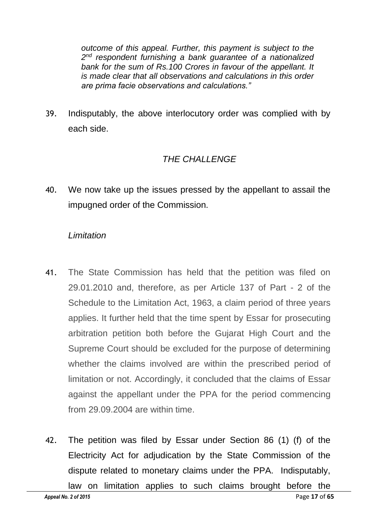*outcome of this appeal. Further, this payment is subject to the 2 nd respondent furnishing a bank guarantee of a nationalized*  bank for the sum of Rs.100 Crores in favour of the appellant. It *is made clear that all observations and calculations in this order are prima facie observations and calculations."*

39. Indisputably, the above interlocutory order was complied with by each side.

# *THE CHALLENGE*

40. We now take up the issues pressed by the appellant to assail the impugned order of the Commission.

## *Limitation*

- 41. The State Commission has held that the petition was filed on 29.01.2010 and, therefore, as per Article 137 of Part - 2 of the Schedule to the Limitation Act, 1963, a claim period of three years applies. It further held that the time spent by Essar for prosecuting arbitration petition both before the Gujarat High Court and the Supreme Court should be excluded for the purpose of determining whether the claims involved are within the prescribed period of limitation or not. Accordingly, it concluded that the claims of Essar against the appellant under the PPA for the period commencing from 29.09.2004 are within time.
- 42. The petition was filed by Essar under Section 86 (1) (f) of the Electricity Act for adjudication by the State Commission of the dispute related to monetary claims under the PPA. Indisputably, law on limitation applies to such claims brought before the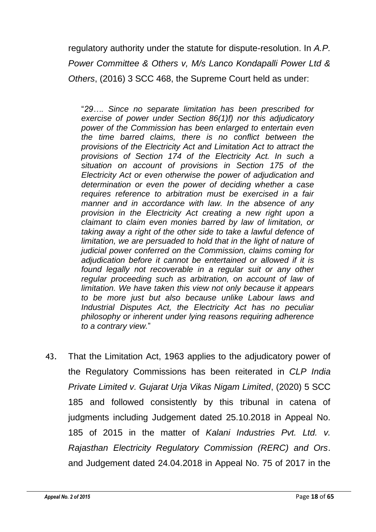regulatory authority under the statute for dispute-resolution. In *A.P. Power Committee & Others v, M/s Lanco Kondapalli Power Ltd & Others*, (2016) 3 SCC 468, the Supreme Court held as under:

"*29…. Since no separate limitation has been prescribed for exercise of power under Section 86(1)f) nor this adjudicatory power of the Commission has been enlarged to entertain even the time barred claims, there is no conflict between the provisions of the Electricity Act and Limitation Act to attract the provisions of Section 174 of the Electricity Act. In such a situation on account of provisions in Section 175 of the Electricity Act or even otherwise the power of adjudication and determination or even the power of deciding whether a case requires reference to arbitration must be exercised in a fair manner and in accordance with law. In the absence of any provision in the Electricity Act creating a new right upon a claimant to claim even monies barred by law of limitation, or taking away a right of the other side to take a lawful defence of*  limitation, we are persuaded to hold that in the light of nature of *judicial power conferred on the Commission, claims coming for adjudication before it cannot be entertained or allowed if it is*  found legally not recoverable in a regular suit or any other *regular proceeding such as arbitration, on account of law of limitation. We have taken this view not only because it appears to be more just but also because unlike Labour laws and Industrial Disputes Act, the Electricity Act has no peculiar philosophy or inherent under lying reasons requiring adherence to a contrary view.*"

43. That the Limitation Act, 1963 applies to the adjudicatory power of the Regulatory Commissions has been reiterated in *CLP India Private Limited v. Gujarat Urja Vikas Nigam Limited*, (2020) 5 SCC 185 and followed consistently by this tribunal in catena of judgments including Judgement dated 25.10.2018 in Appeal No. 185 of 2015 in the matter of *Kalani Industries Pvt. Ltd. v. Rajasthan Electricity Regulatory Commission (RERC) and Ors*. and Judgement dated 24.04.2018 in Appeal No. 75 of 2017 in the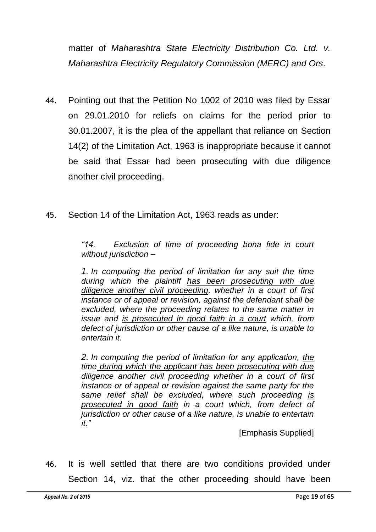matter of *Maharashtra State Electricity Distribution Co. Ltd. v. Maharashtra Electricity Regulatory Commission (MERC) and Ors*.

- 44. Pointing out that the Petition No 1002 of 2010 was filed by Essar on 29.01.2010 for reliefs on claims for the period prior to 30.01.2007, it is the plea of the appellant that reliance on Section 14(2) of the Limitation Act, 1963 is inappropriate because it cannot be said that Essar had been prosecuting with due diligence another civil proceeding.
- 45. Section 14 of the Limitation Act, 1963 reads as under:

*"14. Exclusion of time of proceeding bona fide in court without jurisdiction –*

*1. In computing the period of limitation for any suit the time during which the plaintiff has been prosecuting with due diligence another civil proceeding, whether in a court of first instance or of appeal or revision, against the defendant shall be excluded, where the proceeding relates to the same matter in issue and is prosecuted in good faith in a court which, from defect of jurisdiction or other cause of a like nature, is unable to entertain it.*

*2. In computing the period of limitation for any application, the time during which the applicant has been prosecuting with due diligence another civil proceeding whether in a court of first instance or of appeal or revision against the same party for the same relief shall be excluded, where such proceeding is prosecuted in good faith in a court which, from defect of jurisdiction or other cause of a like nature, is unable to entertain it."* 

[Emphasis Supplied]

46. It is well settled that there are two conditions provided under Section 14, viz. that the other proceeding should have been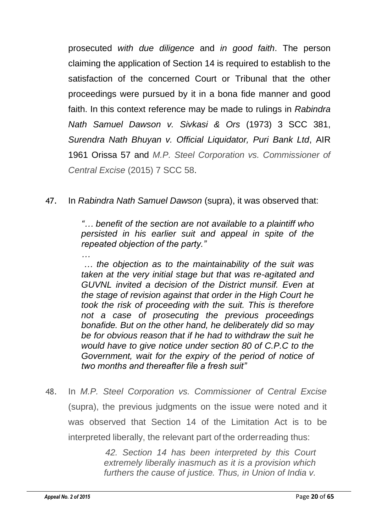prosecuted *with due diligence* and *in good faith*. The person claiming the application of Section 14 is required to establish to the satisfaction of the concerned Court or Tribunal that the other proceedings were pursued by it in a bona fide manner and good faith. In this context reference may be made to rulings in *Rabindra Nath Samuel Dawson v. Sivkasi & Ors* (1973) 3 SCC 381, *Surendra Nath Bhuyan v. Official Liquidator, Puri Bank Ltd*, AIR 1961 Orissa 57 and *M.P. Steel Corporation vs. Commissioner of Central Excise* (2015) 7 SCC 58.

47. In *Rabindra Nath Samuel Dawson* (supra), it was observed that:

*"… benefit of the section are not available to a plaintiff who persisted in his earlier suit and appeal in spite of the repeated objection of the party."*

*… the objection as to the maintainability of the suit was taken at the very initial stage but that was re-agitated and GUVNL invited a decision of the District munsif. Even at the stage of revision against that order in the High Court he took the risk of proceeding with the suit. This is therefore not a case of prosecuting the previous proceedings bonafide. But on the other hand, he deliberately did so may be for obvious reason that if he had to withdraw the suit he would have to give notice under section 80 of C.P.C to the Government, wait for the expiry of the period of notice of two months and thereafter file a fresh suit"*

48. In *M.P. Steel Corporation vs. Commissioner of Central Excise* (supra), the previous judgments on the issue were noted and it was observed that Section 14 of the Limitation Act is to be interpreted liberally, the relevant part of the orderreading thus:

> *42. Section 14 has been interpreted by this Court extremely liberally inasmuch as it is a provision which furthers the cause of justice. Thus, in Union of India v.*

*…*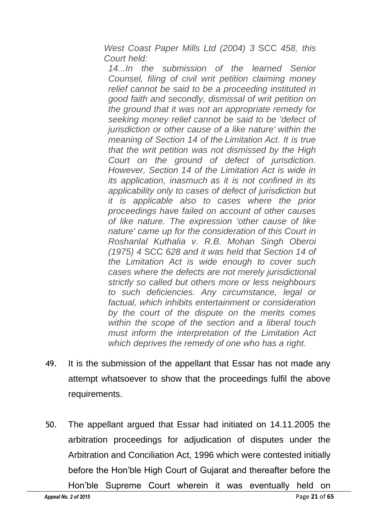*West Coast Paper Mills Ltd (2004) 3* SCC *458, this Court held:*

*14...In the submission of the learned Senior Counsel, filing of civil writ petition claiming money relief cannot be said to be a proceeding instituted in good faith and secondly, dismissal of writ petition on the ground that it was not an appropriate remedy for seeking money relief cannot be said to be 'defect of jurisdiction or other cause of a like nature' within the meaning of Section 14 of the Limitation Act. It is true that the writ petition was not dismissed by the High Court on the ground of defect of jurisdiction. However, Section 14 of the Limitation Act is wide in its application, inasmuch as it is not confined in its applicability only to cases of defect of jurisdiction but it is applicable also to cases where the prior proceedings have failed on account of other causes of like nature. The expression 'other cause of like nature' came up for the consideration of this Court in Roshanlal Kuthalia v. R.B. Mohan Singh Oberoi (1975) 4* SCC *628 and it was held that Section 14 of the Limitation Act is wide enough to cover such cases where the defects are not merely jurisdictional strictly so called but others more or less neighbours to such deficiencies. Any circumstance, legal or factual, which inhibits entertainment or consideration by the court of the dispute on the merits comes within the scope of the section and a liberal touch must inform the interpretation of the Limitation Act which deprives the remedy of one who has a right.*

- 49. It is the submission of the appellant that Essar has not made any attempt whatsoever to show that the proceedings fulfil the above requirements.
- 50. The appellant argued that Essar had initiated on 14.11.2005 the arbitration proceedings for adjudication of disputes under the Arbitration and Conciliation Act, 1996 which were contested initially before the Hon'ble High Court of Gujarat and thereafter before the

 *Appeal No. 2 of 2015* Page **21** of **65** Hon'ble Supreme Court wherein it was eventually held on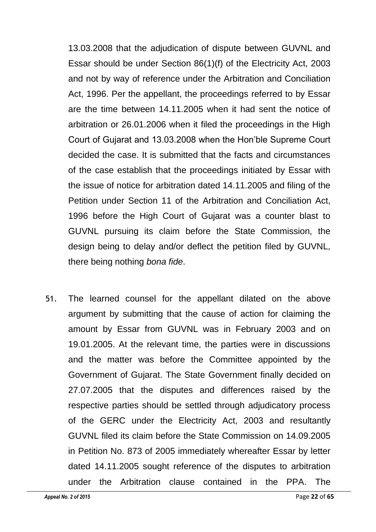13.03.2008 that the adjudication of dispute between GUVNL and Essar should be under Section 86(1)(f) of the Electricity Act, 2003 and not by way of reference under the Arbitration and Conciliation Act, 1996. Per the appellant, the proceedings referred to by Essar are the time between 14.11.2005 when it had sent the notice of arbitration or 26.01.2006 when it filed the proceedings in the High Court of Gujarat and 13.03.2008 when the Hon'ble Supreme Court decided the case. It is submitted that the facts and circumstances of the case establish that the proceedings initiated by Essar with the issue of notice for arbitration dated 14.11.2005 and filing of the Petition under Section 11 of the Arbitration and Conciliation Act, 1996 before the High Court of Gujarat was a counter blast to GUVNL pursuing its claim before the State Commission, the design being to delay and/or deflect the petition filed by GUVNL, there being nothing *bona fide*.

51. The learned counsel for the appellant dilated on the above argument by submitting that the cause of action for claiming the amount by Essar from GUVNL was in February 2003 and on 19.01.2005. At the relevant time, the parties were in discussions and the matter was before the Committee appointed by the Government of Gujarat. The State Government finally decided on 27.07.2005 that the disputes and differences raised by the respective parties should be settled through adjudicatory process of the GERC under the Electricity Act, 2003 and resultantly GUVNL filed its claim before the State Commission on 14.09.2005 in Petition No. 873 of 2005 immediately whereafter Essar by letter dated 14.11.2005 sought reference of the disputes to arbitration under the Arbitration clause contained in the PPA. The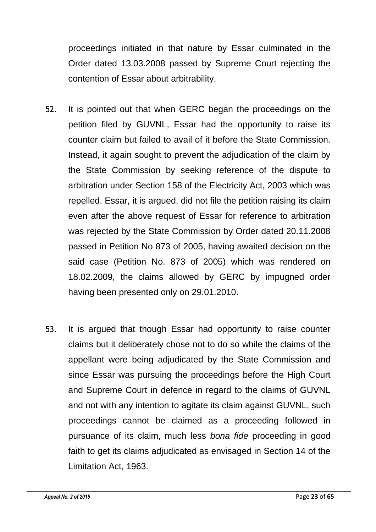proceedings initiated in that nature by Essar culminated in the Order dated 13.03.2008 passed by Supreme Court rejecting the contention of Essar about arbitrability.

- 52. It is pointed out that when GERC began the proceedings on the petition filed by GUVNL, Essar had the opportunity to raise its counter claim but failed to avail of it before the State Commission. Instead, it again sought to prevent the adjudication of the claim by the State Commission by seeking reference of the dispute to arbitration under Section 158 of the Electricity Act, 2003 which was repelled. Essar, it is argued, did not file the petition raising its claim even after the above request of Essar for reference to arbitration was rejected by the State Commission by Order dated 20.11.2008 passed in Petition No 873 of 2005, having awaited decision on the said case (Petition No. 873 of 2005) which was rendered on 18.02.2009, the claims allowed by GERC by impugned order having been presented only on 29.01.2010.
- 53. It is argued that though Essar had opportunity to raise counter claims but it deliberately chose not to do so while the claims of the appellant were being adjudicated by the State Commission and since Essar was pursuing the proceedings before the High Court and Supreme Court in defence in regard to the claims of GUVNL and not with any intention to agitate its claim against GUVNL, such proceedings cannot be claimed as a proceeding followed in pursuance of its claim, much less *bona fide* proceeding in good faith to get its claims adjudicated as envisaged in Section 14 of the Limitation Act, 1963.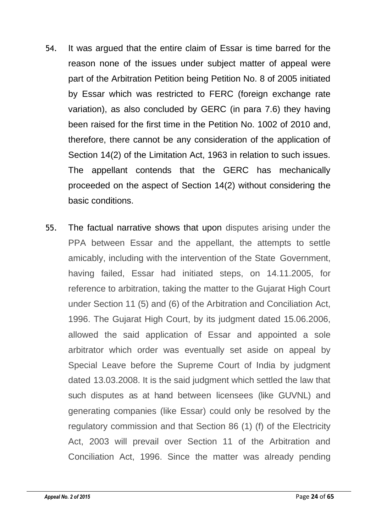- 54. It was argued that the entire claim of Essar is time barred for the reason none of the issues under subject matter of appeal were part of the Arbitration Petition being Petition No. 8 of 2005 initiated by Essar which was restricted to FERC (foreign exchange rate variation), as also concluded by GERC (in para 7.6) they having been raised for the first time in the Petition No. 1002 of 2010 and, therefore, there cannot be any consideration of the application of Section 14(2) of the Limitation Act, 1963 in relation to such issues. The appellant contends that the GERC has mechanically proceeded on the aspect of Section 14(2) without considering the basic conditions.
- 55. The factual narrative shows that upon disputes arising under the PPA between Essar and the appellant, the attempts to settle amicably, including with the intervention of the State Government, having failed, Essar had initiated steps, on 14.11.2005, for reference to arbitration, taking the matter to the Gujarat High Court under Section 11 (5) and (6) of the Arbitration and Conciliation Act, 1996. The Gujarat High Court, by its judgment dated 15.06.2006, allowed the said application of Essar and appointed a sole arbitrator which order was eventually set aside on appeal by Special Leave before the Supreme Court of India by judgment dated 13.03.2008. It is the said judgment which settled the law that such disputes as at hand between licensees (like GUVNL) and generating companies (like Essar) could only be resolved by the regulatory commission and that Section 86 (1) (f) of the Electricity Act, 2003 will prevail over Section 11 of the Arbitration and Conciliation Act, 1996. Since the matter was already pending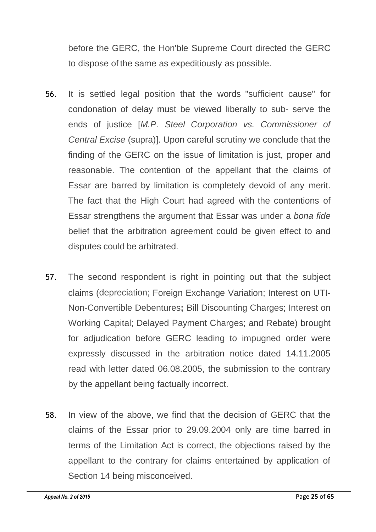before the GERC, the Hon'ble Supreme Court directed the GERC to dispose of the same as expeditiously as possible.

- 56. It is settled legal position that the words "sufficient cause" for condonation of delay must be viewed liberally to sub- serve the ends of justice [*M.P. Steel Corporation vs. Commissioner of Central Excise* (supra)]. Upon careful scrutiny we conclude that the finding of the GERC on the issue of limitation is just, proper and reasonable. The contention of the appellant that the claims of Essar are barred by limitation is completely devoid of any merit. The fact that the High Court had agreed with the contentions of Essar strengthens the argument that Essar was under a *bona fide*  belief that the arbitration agreement could be given effect to and disputes could be arbitrated.
- 57. The second respondent is right in pointing out that the subject claims (depreciation; Foreign Exchange Variation; Interest on UTI-Non-Convertible Debentures**;** Bill Discounting Charges; Interest on Working Capital; Delayed Payment Charges; and Rebate) brought for adjudication before GERC leading to impugned order were expressly discussed in the arbitration notice dated 14.11.2005 read with letter dated 06.08.2005, the submission to the contrary by the appellant being factually incorrect.
- 58. In view of the above, we find that the decision of GERC that the claims of the Essar prior to 29.09.2004 only are time barred in terms of the Limitation Act is correct, the objections raised by the appellant to the contrary for claims entertained by application of Section 14 being misconceived.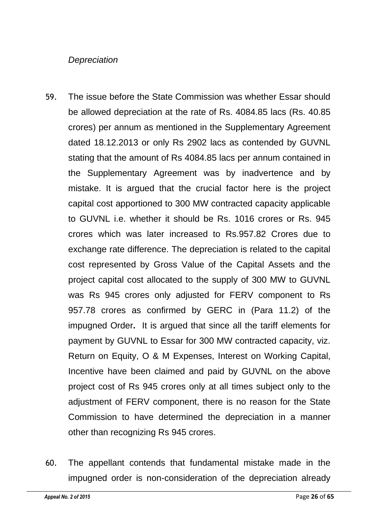### *Depreciation*

- 59. The issue before the State Commission was whether Essar should be allowed depreciation at the rate of Rs. 4084.85 lacs (Rs. 40.85 crores) per annum as mentioned in the Supplementary Agreement dated 18.12.2013 or only Rs 2902 lacs as contended by GUVNL stating that the amount of Rs 4084.85 lacs per annum contained in the Supplementary Agreement was by inadvertence and by mistake. It is argued that the crucial factor here is the project capital cost apportioned to 300 MW contracted capacity applicable to GUVNL i.e. whether it should be Rs. 1016 crores or Rs. 945 crores which was later increased to Rs.957.82 Crores due to exchange rate difference. The depreciation is related to the capital cost represented by Gross Value of the Capital Assets and the project capital cost allocated to the supply of 300 MW to GUVNL was Rs 945 crores only adjusted for FERV component to Rs 957.78 crores as confirmed by GERC in (Para 11.2) of the impugned Order**.** It is argued that since all the tariff elements for payment by GUVNL to Essar for 300 MW contracted capacity, viz. Return on Equity, O & M Expenses, Interest on Working Capital, Incentive have been claimed and paid by GUVNL on the above project cost of Rs 945 crores only at all times subject only to the adjustment of FERV component, there is no reason for the State Commission to have determined the depreciation in a manner other than recognizing Rs 945 crores.
- 60. The appellant contends that fundamental mistake made in the impugned order is non-consideration of the depreciation already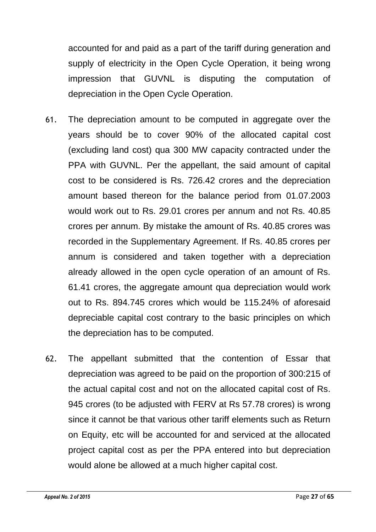accounted for and paid as a part of the tariff during generation and supply of electricity in the Open Cycle Operation, it being wrong impression that GUVNL is disputing the computation of depreciation in the Open Cycle Operation.

- 61. The depreciation amount to be computed in aggregate over the years should be to cover 90% of the allocated capital cost (excluding land cost) qua 300 MW capacity contracted under the PPA with GUVNL. Per the appellant, the said amount of capital cost to be considered is Rs. 726.42 crores and the depreciation amount based thereon for the balance period from 01.07.2003 would work out to Rs. 29.01 crores per annum and not Rs. 40.85 crores per annum. By mistake the amount of Rs. 40.85 crores was recorded in the Supplementary Agreement. If Rs. 40.85 crores per annum is considered and taken together with a depreciation already allowed in the open cycle operation of an amount of Rs. 61.41 crores, the aggregate amount qua depreciation would work out to Rs. 894.745 crores which would be 115.24% of aforesaid depreciable capital cost contrary to the basic principles on which the depreciation has to be computed.
- 62. The appellant submitted that the contention of Essar that depreciation was agreed to be paid on the proportion of 300:215 of the actual capital cost and not on the allocated capital cost of Rs. 945 crores (to be adjusted with FERV at Rs 57.78 crores) is wrong since it cannot be that various other tariff elements such as Return on Equity, etc will be accounted for and serviced at the allocated project capital cost as per the PPA entered into but depreciation would alone be allowed at a much higher capital cost.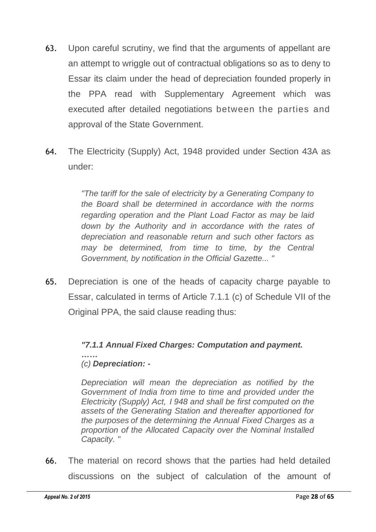- 63. Upon careful scrutiny, we find that the arguments of appellant are an attempt to wriggle out of contractual obligations so as to deny to Essar its claim under the head of depreciation founded properly in the PPA read with Supplementary Agreement which was executed after detailed negotiations between the parties and approval of the State Government.
- 64. The Electricity (Supply) Act, 1948 provided under Section 43A as under:

*"The tariff for the sale of electricity by a Generating Company to the Board shall be determined in accordance with the norms regarding operation and the Plant Load Factor as may be laid down by the Authority and in accordance with the rates of depreciation and reasonable return and such other factors as may be determined, from time to time, by the Central Government, by notification in the Official Gazette... "*

65. Depreciation is one of the heads of capacity charge payable to Essar, calculated in terms of Article 7.1.1 (c) of Schedule VII of the Original PPA, the said clause reading thus:

#### *"7.1.1 Annual Fixed Charges: Computation and payment. …… (c) Depreciation: -*

*Depreciation will mean the depreciation as notified by the Government of India from time to time and provided under the Electricity (Supply) Act, I 948 and shall be first computed on the assets of the Generating Station and thereafter apportioned for the purposes of the determining the Annual Fixed Charges as a proportion of the Allocated Capacity over the Nominal Installed Capacity.* "

66. The material on record shows that the parties had held detailed discussions on the subject of calculation of the amount of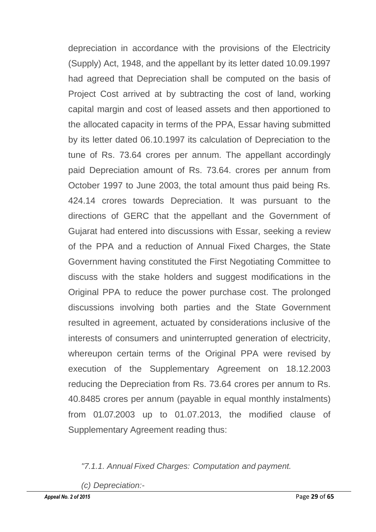depreciation in accordance with the provisions of the Electricity (Supply) Act, 1948, and the appellant by its letter dated 10.09.1997 had agreed that Depreciation shall be computed on the basis of Project Cost arrived at by subtracting the cost of land, working capital margin and cost of leased assets and then apportioned to the allocated capacity in terms of the PPA, Essar having submitted by its letter dated 06.10.1997 its calculation of Depreciation to the tune of Rs. 73.64 crores per annum. The appellant accordingly paid Depreciation amount of Rs. 73.64. crores per annum from October 1997 to June 2003, the total amount thus paid being Rs. 424.14 crores towards Depreciation. It was pursuant to the directions of GERC that the appellant and the Government of Gujarat had entered into discussions with Essar, seeking a review of the PPA and a reduction of Annual Fixed Charges, the State Government having constituted the First Negotiating Committee to discuss with the stake holders and suggest modifications in the Original PPA to reduce the power purchase cost. The prolonged discussions involving both parties and the State Government resulted in agreement, actuated by considerations inclusive of the interests of consumers and uninterrupted generation of electricity, whereupon certain terms of the Original PPA were revised by execution of the Supplementary Agreement on 18.12.2003 reducing the Depreciation from Rs. 73.64 crores per annum to Rs. 40.8485 crores per annum (payable in equal monthly instalments) from 01.07.2003 up to 01.07.2013, the modified clause of Supplementary Agreement reading thus:

*"7.1.1. Annual Fixed Charges: Computation and payment.*

*(c) Depreciation:-*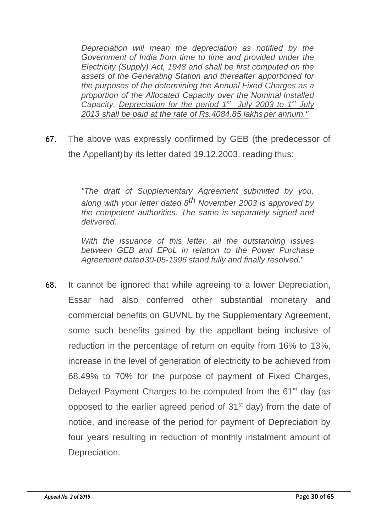*Depreciation will mean the depreciation as notified by the Government of India from time to time and provided under the Electricity (Supply) Act, 1948 and shall be first computed on the assets of the Generating Station and thereafter apportioned for the purposes of the determining the Annual Fixed Charges as a proportion of the Allocated Capacity over the Nominal Installed Capacity. Depreciation for the period 1st July 2003 to 1st July 2013 shall be paid at the rate of Rs.4084.85 lakhs per annum."*

67. The above was expressly confirmed by GEB (the predecessor of the Appellant)by its letter dated 19.12.2003, reading thus:

> *"The draft of Supplementary Agreement submitted by you, along with your letter dated 8th November 2003 is approved by the competent authorities. The same is separately signed and delivered.*

> *With the issuance of this letter, all the outstanding issues between GEB and EPoL in relation to the Power Purchase Agreement dated30-05-1996 stand fully and finally resolved*."

68. It cannot be ignored that while agreeing to a lower Depreciation, Essar had also conferred other substantial monetary and commercial benefits on GUVNL by the Supplementary Agreement, some such benefits gained by the appellant being inclusive of reduction in the percentage of return on equity from 16% to 13%, increase in the level of generation of electricity to be achieved from 68.49% to 70% for the purpose of payment of Fixed Charges, Delayed Payment Charges to be computed from the 61<sup>st</sup> day (as opposed to the earlier agreed period of  $31<sup>st</sup>$  day) from the date of notice, and increase of the period for payment of Depreciation by four years resulting in reduction of monthly instalment amount of Depreciation.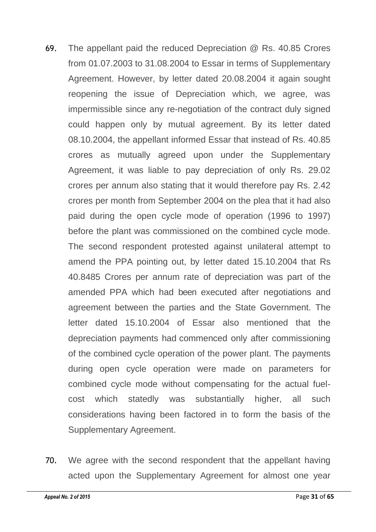- 69. The appellant paid the reduced Depreciation @ Rs. 40.85 Crores from 01.07.2003 to 31.08.2004 to Essar in terms of Supplementary Agreement. However, by letter dated 20.08.2004 it again sought reopening the issue of Depreciation which, we agree, was impermissible since any re-negotiation of the contract duly signed could happen only by mutual agreement. By its letter dated 08.10.2004, the appellant informed Essar that instead of Rs. 40.85 crores as mutually agreed upon under the Supplementary Agreement, it was liable to pay depreciation of only Rs. 29.02 crores per annum also stating that it would therefore pay Rs. 2.42 crores per month from September 2004 on the plea that it had also paid during the open cycle mode of operation (1996 to 1997) before the plant was commissioned on the combined cycle mode. The second respondent protested against unilateral attempt to amend the PPA pointing out, by letter dated 15.10.2004 that Rs 40.8485 Crores per annum rate of depreciation was part of the amended PPA which had been executed after negotiations and agreement between the parties and the State Government. The letter dated 15.10.2004 of Essar also mentioned that the depreciation payments had commenced only after commissioning of the combined cycle operation of the power plant. The payments during open cycle operation were made on parameters for combined cycle mode without compensating for the actual fuelcost which statedly was substantially higher, all such considerations having been factored in to form the basis of the Supplementary Agreement.
- 70. We agree with the second respondent that the appellant having acted upon the Supplementary Agreement for almost one year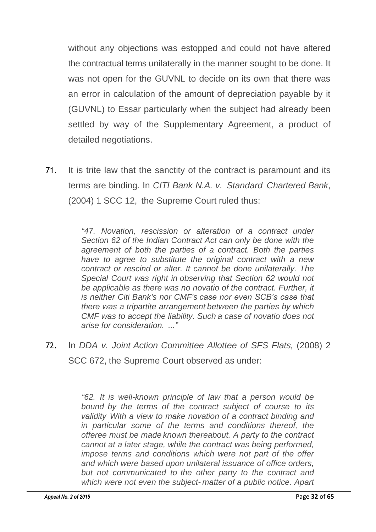without any objections was estopped and could not have altered the contractual terms unilaterally in the manner sought to be done. It was not open for the GUVNL to decide on its own that there was an error in calculation of the amount of depreciation payable by it (GUVNL) to Essar particularly when the subject had already been settled by way of the Supplementary Agreement, a product of detailed negotiations.

71. It is trite law that the sanctity of the contract is paramount and its terms are binding. In *CITI Bank N.A. v. Standard Chartered Bank*, (2004) 1 SCC 12, the Supreme Court ruled thus:

> *"47. Novation, rescission or alteration of a contract under Section 62 of the Indian Contract Act can only be done with the agreement of both the parties of a contract. Both the parties have to agree to substitute the original contract with a new contract or rescind or alter. It cannot be done unilaterally. The Special Court was right in observing that Section 62 would not be applicable as there was no novatio of the contract. Further, it is neither Citi Bank's nor CMF's case nor even SCB's case that there was a tripartite arrangement between the parties by which CMF was to accept the liability. Such a case of novatio does not arise for consideration. ..."*

72. In *DDA v. Joint Action Committee Allottee of SFS Flats,* (2008) 2 SCC 672, the Supreme Court observed as under:

> *"62. It is well-known principle of law that a person would be bound by the terms of the contract subject of course to its validity With a view to make novation of a contract binding and in particular some of the terms and conditions thereof, the offeree must be made known thereabout. A party to the contract cannot at a later stage, while the contract was being performed, impose terms and conditions which were not part of the offer and which were based upon unilateral issuance of office orders, but not communicated to the other party to the contract and which were not even the subject- matter of a public notice. Apart*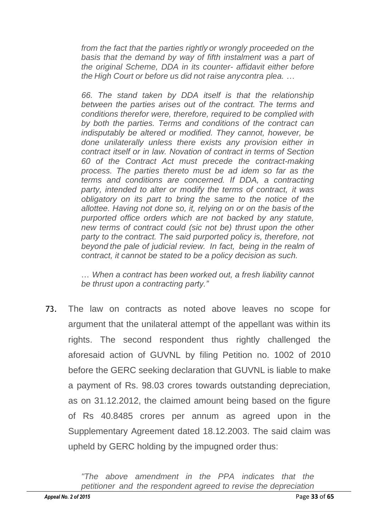*from the fact that the parties rightly or wrongly proceeded on the basis that the demand by way of fifth instalment was a part of the original Scheme, DDA in its counter- affidavit either before the High Court or before us did not raise anycontra plea. …*

*66. The stand taken by DDA itself is that the relationship between the parties arises out of the contract. The terms and conditions therefor were, therefore, required to be complied with by both the parties. Terms and conditions of the contract can indisputably be altered or modified. They cannot, however, be done unilaterally unless there exists any provision either in contract itself or in law. Novation of contract in terms of Section 60 of the Contract Act must precede the contract-making process. The parties thereto must be ad idem so far as the terms and conditions are concerned. If DDA, a contracting party, intended to alter or modify the terms of contract, it was obligatory on its part to bring the same to the notice of the allottee. Having not done so, it, relying on or on the basis of the purported office orders which are not backed by any statute, new terms of contract could (sic not be) thrust upon the other party to the contract. The said purported policy is, therefore, not beyond the pale of judicial review. In fact, being in the realm of contract, it cannot be stated to be a policy decision as such.*

... *When a contract has been worked out, a fresh liability cannot be thrust upon a contracting party."*

73. The law on contracts as noted above leaves no scope for argument that the unilateral attempt of the appellant was within its rights. The second respondent thus rightly challenged the aforesaid action of GUVNL by filing Petition no. 1002 of 2010 before the GERC seeking declaration that GUVNL is liable to make a payment of Rs. 98.03 crores towards outstanding depreciation, as on 31.12.2012, the claimed amount being based on the figure of Rs 40.8485 crores per annum as agreed upon in the Supplementary Agreement dated 18.12.2003. The said claim was upheld by GERC holding by the impugned order thus: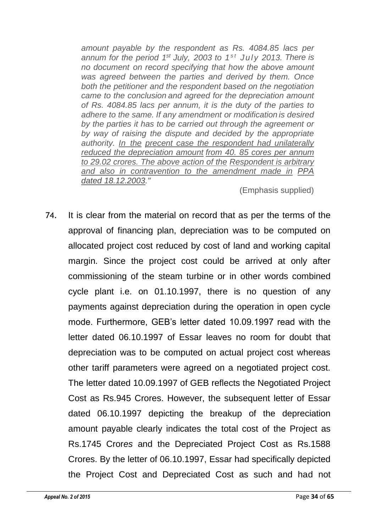*amount payable by the respondent as Rs. 4084.85 lacs per annum for the period 1 st July, 2003 to 1 s t July 2013. There is no document on record specifying that how the above amount was agreed between the parties and derived by them. Once both the petitioner and the respondent based on the negotiation came to the conclusion and agreed for the depreciation amount of Rs. 4084.85 lacs per annum, it is the duty of the parties to adhere to the same. If any amendment or modification is desired by the parties it has to be carried out through the agreement or by way of raising the dispute and decided by the appropriate authority. In the precent case the respondent had unilaterally reduced the depreciation amount from 40. 85 cores per annum to 29.02 crores. The above action of the Respondent is arbitrary and also in contravention to the amendment made in PPA dated 18.12.2003."*

(Emphasis supplied)

74. It is clear from the material on record that as per the terms of the approval of financing plan, depreciation was to be computed on allocated project cost reduced by cost of land and working capital margin. Since the project cost could be arrived at only after commissioning of the steam turbine or in other words combined cycle plant i.e. on 01.10.1997, there is no question of any payments against depreciation during the operation in open cycle mode. Furthermore, GEB's letter dated 10.09.1997 read with the letter dated 06.10.1997 of Essar leaves no room for doubt that depreciation was to be computed on actual project cost whereas other tariff parameters were agreed on a negotiated project cost. The letter dated 10.09.1997 of GEB reflects the Negotiated Project Cost as Rs.945 Crores. However, the subsequent letter of Essar dated 06.10.1997 depicting the breakup of the depreciation amount payable clearly indicates the total cost of the Project as Rs.1745 Cror*es* and the Depreciated Project Cost as Rs.1588 Crores. By the letter of 06.10.1997, Essar had specifically depicted the Project Cost and Depreciated Cost as such and had not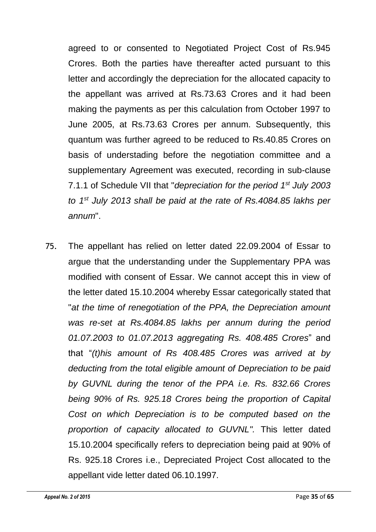agreed to or consented to Negotiated Project Cost of Rs.945 Crores. Both the parties have thereafter acted pursuant to this letter and accordingly the depreciation for the allocated capacity to the appellant was arrived at Rs.73.63 Crores and it had been making the payments as per this calculation from October 1997 to June 2005, at Rs.73.63 Crores per annum. Subsequently, this quantum was further agreed to be reduced to Rs.40.85 Crores on basis of understading before the negotiation committee and a supplementary Agreement was executed, recording in sub-clause 7.1.1 of Schedule VII that "*depreciation for the period 1st July 2003 to 1st July 2013 shall be paid at the rate of Rs.4084.85 lakhs per annum*".

75. The appellant has relied on letter dated 22.09.2004 of Essar to argue that the understanding under the Supplementary PPA was modified with consent of Essar. We cannot accept this in view of the letter dated 15.10.2004 whereby Essar categorically stated that "*at the time of renegotiation of the PPA, the Depreciation amount was re-set at Rs.4084.85 lakhs per annum during the period 01.07.2003 to 01.07.2013 aggregating Rs. 408.485 Crores*" and that "*(t)his amount of Rs 408.485 Crores was arrived at by deducting from the total eligible amount of Depreciation to be paid by GUVNL during the tenor of the PPA i.e. Rs. 832.66 Crores being 90% of Rs. 925.18 Crores being the proportion of Capital Cost on which Depreciation is to be computed based on the proportion of capacity allocated to GUVNL".* This letter dated 15.10.2004 specifically refers to depreciation being paid at 90% of Rs. 925.18 Crores i.e., Depreciated Project Cost allocated to the appellant vide letter dated 06.10.1997.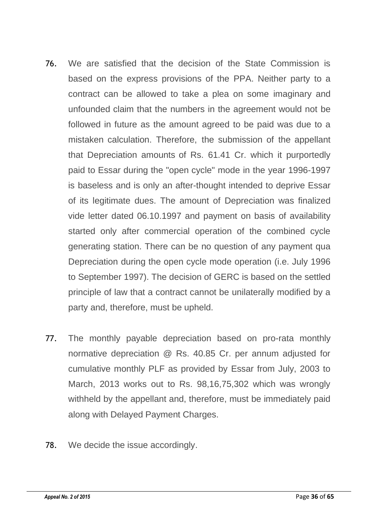- 76. We are satisfied that the decision of the State Commission is based on the express provisions of the PPA. Neither party to a contract can be allowed to take a plea on some imaginary and unfounded claim that the numbers in the agreement would not be followed in future as the amount agreed to be paid was due to a mistaken calculation. Therefore, the submission of the appellant that Depreciation amounts of Rs. 61.41 Cr. which it purportedly paid to Essar during the "open cycle" mode in the year 1996-1997 is baseless and is only an after-thought intended to deprive Essar of its legitimate dues. The amount of Depreciation was finalized vide letter dated 06.10.1997 and payment on basis of availability started only after commercial operation of the combined cycle generating station. There can be no question of any payment qua Depreciation during the open cycle mode operation (i.e. July 1996 to September 1997). The decision of GERC is based on the settled principle of law that a contract cannot be unilaterally modified by a party and, therefore, must be upheld.
- 77. The monthly payable depreciation based on pro-rata monthly normative depreciation @ Rs. 40.85 Cr. per annum adjusted for cumulative monthly PLF as provided by Essar from July, 2003 to March, 2013 works out to Rs. 98,16,75,302 which was wrongly withheld by the appellant and, therefore, must be immediately paid along with Delayed Payment Charges.
- 78. We decide the issue accordingly.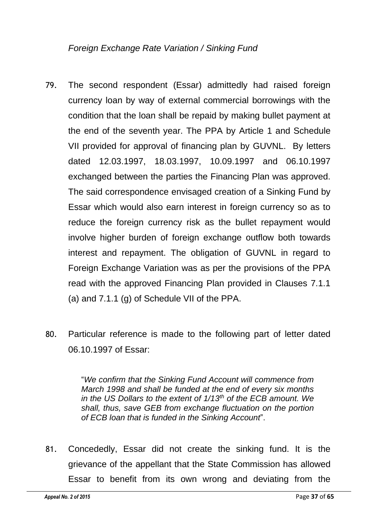*Foreign Exchange Rate Variation / Sinking Fund*

- 79. The second respondent (Essar) admittedly had raised foreign currency loan by way of external commercial borrowings with the condition that the loan shall be repaid by making bullet payment at the end of the seventh year. The PPA by Article 1 and Schedule VII provided for approval of financing plan by GUVNL. By letters dated 12.03.1997, 18.03.1997, 10.09.1997 and 06.10.1997 exchanged between the parties the Financing Plan was approved. The said correspondence envisaged creation of a Sinking Fund by Essar which would also earn interest in foreign currency so as to reduce the foreign currency risk as the bullet repayment would involve higher burden of foreign exchange outflow both towards interest and repayment. The obligation of GUVNL in regard to Foreign Exchange Variation was as per the provisions of the PPA read with the approved Financing Plan provided in Clauses 7.1.1 (a) and 7.1.1 (g) of Schedule VII of the PPA.
- 80. Particular reference is made to the following part of letter dated 06.10.1997 of Essar:

"*We confirm that the Sinking Fund Account will commence from March 1998 and shall be funded at the end of every six months in the US Dollars to the extent of 1/13th of the ECB amount. We shall, thus, save GEB from exchange fluctuation on the portion of ECB loan that is funded in the Sinking Account*".

81. Concededly, Essar did not create the sinking fund. It is the grievance of the appellant that the State Commission has allowed Essar to benefit from its own wrong and deviating from the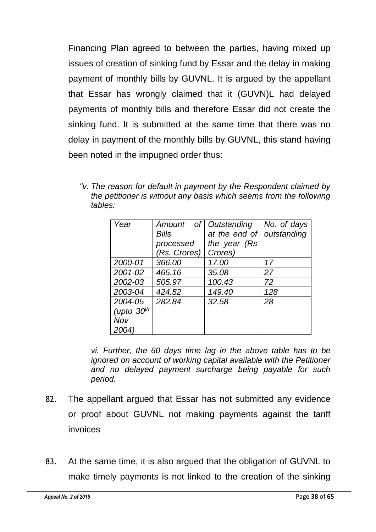Financing Plan agreed to between the parties, having mixed up issues of creation of sinking fund by Essar and the delay in making payment of monthly bills by GUVNL. It is argued by the appellant that Essar has wrongly claimed that it (GUVN)L had delayed payments of monthly bills and therefore Essar did not create the sinking fund. It is submitted at the same time that there was no delay in payment of the monthly bills by GUVNL, this stand having been noted in the impugned order thus:

*"v. The reason for default in payment by the Respondent claimed by the petitioner is without any basis which seems from the following tables:*

| Year         | Amount of Outstanding |               | No. of days |
|--------------|-----------------------|---------------|-------------|
|              | <b>Bills</b>          | at the end of | outstanding |
|              | processed             | the year (Rs  |             |
|              | (Rs. Crores)          | Crores)       |             |
| 2000-01      | 366.00                | 17.00         | 17          |
| 2001-02      | 465.16                | 35.08         | 27          |
| 2002-03      | 505.97                | 100.43        | 72          |
| 2003-04      | 424.52                | 149.40        | 128         |
| 2004-05      | 282.84                | 32.58         | 28          |
| (upto $30th$ |                       |               |             |
| Nov          |                       |               |             |
| 2004)        |                       |               |             |

*vi. Further, the 60 days time lag in the above table has to be ignored on account of working capital available with the Petitioner and no delayed payment surcharge being payable for such period.*

- 82. The appellant argued that Essar has not submitted any evidence or proof about GUVNL not making payments against the tariff invoices
- 83. At the same time, it is also argued that the obligation of GUVNL to make timely payments is not linked to the creation of the sinking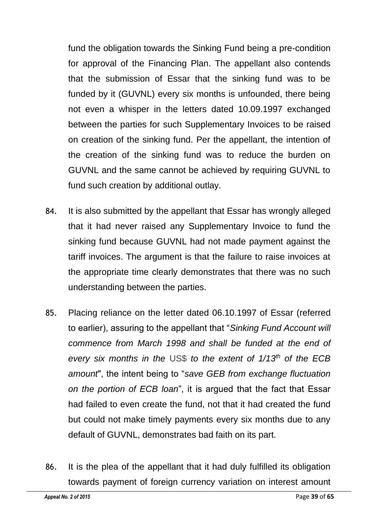fund the obligation towards the Sinking Fund being a pre-condition for approval of the Financing Plan. The appellant also contends that the submission of Essar that the sinking fund was to be funded by it (GUVNL) every six months is unfounded, there being not even a whisper in the letters dated 10.09.1997 exchanged between the parties for such Supplementary Invoices to be raised on creation of the sinking fund. Per the appellant, the intention of the creation of the sinking fund was to reduce the burden on GUVNL and the same cannot be achieved by requiring GUVNL to fund such creation by additional outlay.

- 84. It is also submitted by the appellant that Essar has wrongly alleged that it had never raised any Supplementary Invoice to fund the sinking fund because GUVNL had not made payment against the tariff invoices. The argument is that the failure to raise invoices at the appropriate time clearly demonstrates that there was no such understanding between the parties.
- 85. Placing reliance on the letter dated 06.10.1997 of Essar (referred to earlier), assuring to the appellant that "*Sinking Fund Account will commence from March 1998 and shall be funded at the end of every six months in the* US\$ *to the extent of 1/13th of the ECB amount*", the intent being to "*save GEB from exchange fluctuation on the portion of ECB loan*", it is argued that the fact that Essar had failed to even create the fund, not that it had created the fund but could not make timely payments every six months due to any default of GUVNL, demonstrates bad faith on its part.
- 86. It is the plea of the appellant that it had duly fulfilled its obligation towards payment of foreign currency variation on interest amount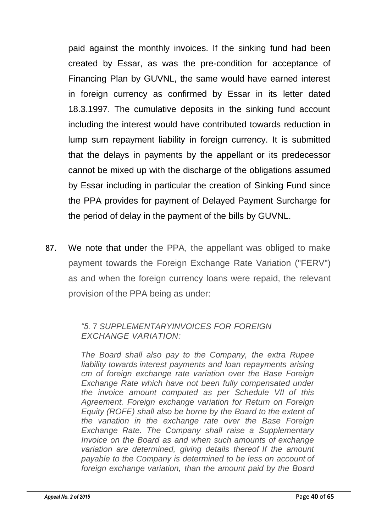paid against the monthly invoices. If the sinking fund had been created by Essar, as was the pre-condition for acceptance of Financing Plan by GUVNL, the same would have earned interest in foreign currency as confirmed by Essar in its letter dated 18.3.1997. The cumulative deposits in the sinking fund account including the interest would have contributed towards reduction in lump sum repayment liability in foreign currency. It is submitted that the delays in payments by the appellant or its predecessor cannot be mixed up with the discharge of the obligations assumed by Essar including in particular the creation of Sinking Fund since the PPA provides for payment of Delayed Payment Surcharge for the period of delay in the payment of the bills by GUVNL.

87. We note that under the PPA, the appellant was obliged to make payment towards the Foreign Exchange Rate Variation ("FERV") as and when the foreign currency loans were repaid, the relevant provision of the PPA being as under:

#### *"5.* 7 *SUPPLEMENTARYINVOICES FOR FOREIGN EXCHANGE VARIATION:*

*The Board shall also pay to the Company, the extra Rupee liability towards interest payments and loan repayments arising cm of foreign exchange rate variation over the Base Foreign Exchange Rate which have not been fully compensated under the invoice amount computed as per Schedule VII of this Agreement. Foreign exchange variation for Return on Foreign Equity (ROFE) shall also be borne by the Board to the extent of the variation in the exchange rate over the Base Foreign Exchange Rate. The Company shall raise a Supplementary Invoice on the Board as and when such amounts of exchange variation are determined, giving details thereof If the amount payable to the Company is determined to be less on account of foreign exchange variation, than the amount paid by the Board*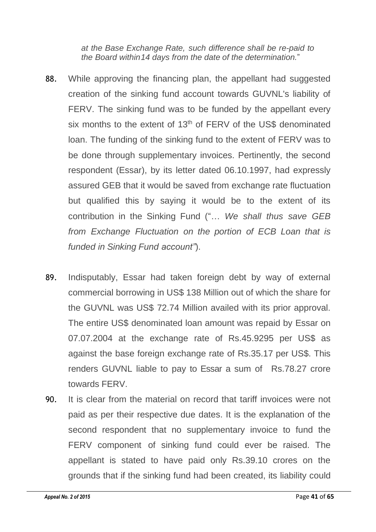*at the Base Exchange Rate, such difference shall be re-paid to the Board within14 days from the date of the determination.*"

- 88. While approving the financing plan, the appellant had suggested creation of the sinking fund account towards GUVNL's liability of FERV. The sinking fund was to be funded by the appellant every six months to the extent of  $13<sup>th</sup>$  of FERV of the US\$ denominated loan. The funding of the sinking fund to the extent of FERV was to be done through supplementary invoices. Pertinently, the second respondent (Essar), by its letter dated 06.10.1997, had expressly assured GEB that it would be saved from exchange rate fluctuation but qualified this by saying it would be to the extent of its contribution in the Sinking Fund ("... *We shall thus save GEB from Exchange Fluctuation on the portion of ECB Loan that is funded in Sinking Fund account"*).
- 89. Indisputably, Essar had taken foreign debt by way of external commercial borrowing in US\$ 138 Million out of which the share for the GUVNL was US\$ 72.74 Million availed with its prior approval. The entire US\$ denominated loan amount was repaid by Essar on 07.07.2004 at the exchange rate of Rs.45.9295 per US\$ as against the base foreign exchange rate of Rs.35.17 per US\$. This renders GUVNL liable to pay to Essar a sum of Rs.78.27 crore towards FERV.
- 90. It is clear from the material on record that tariff invoices were not paid as per their respective due dates. It is the explanation of the second respondent that no supplementary invoice to fund the FERV component of sinking fund could ever be raised. The appellant is stated to have paid only Rs.39.10 crores on the grounds that if the sinking fund had been created, its liability could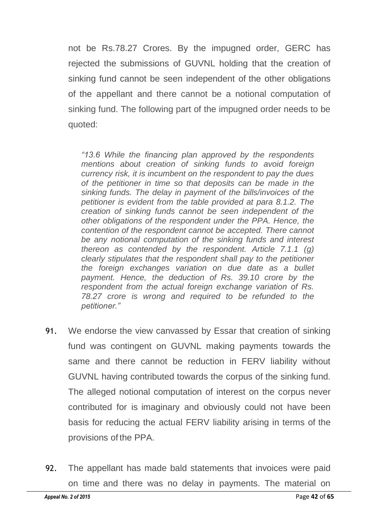not be Rs.78.27 Crores. By the impugned order, GERC has rejected the submissions of GUVNL holding that the creation of sinking fund cannot be seen independent of the other obligations of the appellant and there cannot be a notional computation of sinking fund. The following part of the impugned order needs to be quoted:

*"13.6 While the financing plan approved by the respondents mentions about creation of sinking funds to avoid foreign currency risk, it is incumbent on the respondent to pay the dues of the petitioner in time so that deposits can be made in the sinking funds. The delay in payment of the bills/invoices of the petitioner is evident from the table provided at para 8.1.2. The creation of sinking funds cannot be seen independent of the other obligations of the respondent under the PPA. Hence, the contention of the respondent cannot be accepted. There cannot be any notional computation of the sinking funds and interest thereon as contended by the respondent. Article 7.1.1 (g) clearly stipulates that the respondent shall pay to the petitioner the foreign exchanges variation on due date as a bullet payment. Hence, the deduction of Rs. 39.10 crore by the respondent from the actual foreign exchange variation of Rs. 78.27 crore is wrong and required to be refunded to the petitioner."*

- 91. We endorse the view canvassed by Essar that creation of sinking fund was contingent on GUVNL making payments towards the same and there cannot be reduction in FERV liability without GUVNL having contributed towards the corpus of the sinking fund. The alleged notional computation of interest on the corpus never contributed for is imaginary and obviously could not have been basis for reducing the actual FERV liability arising in terms of the provisions of the PPA.
- 92. The appellant has made bald statements that invoices were paid on time and there was no delay in payments. The material on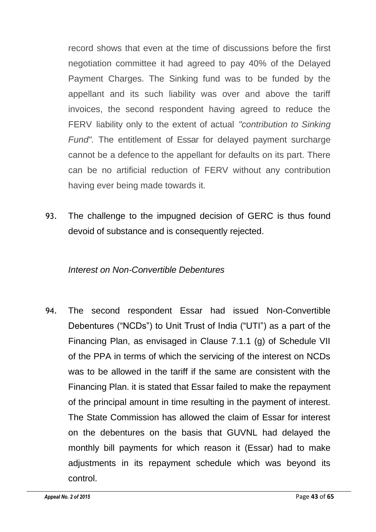record shows that even at the time of discussions before the first negotiation committee it had agreed to pay 40% of the Delayed Payment Charges. The Sinking fund was to be funded by the appellant and its such liability was over and above the tariff invoices, the second respondent having agreed to reduce the FERV liability only to the extent of actual *"contribution to Sinking Fund".* The entitlement of Essar for delayed payment surcharge cannot be a defence to the appellant for defaults on its part. There can be no artificial reduction of FERV without any contribution having ever being made towards it.

93. The challenge to the impugned decision of GERC is thus found devoid of substance and is consequently rejected.

## *Interest on Non-Convertible Debentures*

94. The second respondent Essar had issued Non-Convertible Debentures ("NCDs") to Unit Trust of India ("UTI") as a part of the Financing Plan, as envisaged in Clause 7.1.1 (g) of Schedule VII of the PPA in terms of which the servicing of the interest on NCDs was to be allowed in the tariff if the same are consistent with the Financing Plan. it is stated that Essar failed to make the repayment of the principal amount in time resulting in the payment of interest. The State Commission has allowed the claim of Essar for interest on the debentures on the basis that GUVNL had delayed the monthly bill payments for which reason it (Essar) had to make adjustments in its repayment schedule which was beyond its control.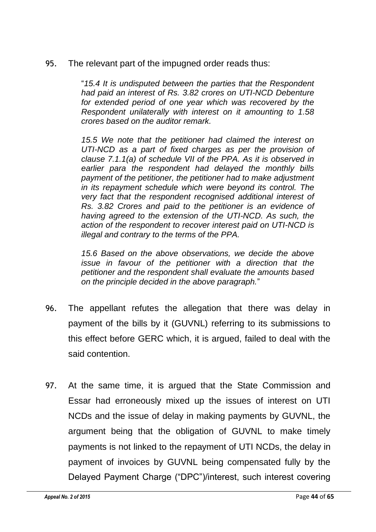95. The relevant part of the impugned order reads thus:

"*15.4 It is undisputed between the parties that the Respondent had paid an interest of Rs. 3.82 crores on UTI-NCD Debenture for extended period of one year which was recovered by the Respondent unilaterally with interest on it amounting to 1.58 crores based on the auditor remark.*

*15.5 We note that the petitioner had claimed the interest on UTI-NCD as a part of fixed charges as per the provision of clause 7.1.1(a) of schedule VII of the PPA. As it is observed in earlier para the respondent had delayed the monthly bills payment of the petitioner, the petitioner had to make adjustment in its repayment schedule which were beyond its control. The very fact that the respondent recognised additional interest of Rs. 3.82 Crores and paid to the petitioner is an evidence of having agreed to the extension of the UTI-NCD. As such, the action of the respondent to recover interest paid on UTI-NCD is illegal and contrary to the terms of the PPA.*

*15.6 Based on the above observations, we decide the above issue in favour of the petitioner with a direction that the petitioner and the respondent shall evaluate the amounts based on the principle decided in the above paragraph.*"

- 96. The appellant refutes the allegation that there was delay in payment of the bills by it (GUVNL) referring to its submissions to this effect before GERC which, it is argued, failed to deal with the said contention.
- 97. At the same time, it is argued that the State Commission and Essar had erroneously mixed up the issues of interest on UTI NCDs and the issue of delay in making payments by GUVNL, the argument being that the obligation of GUVNL to make timely payments is not linked to the repayment of UTI NCDs, the delay in payment of invoices by GUVNL being compensated fully by the Delayed Payment Charge ("DPC")/interest, such interest covering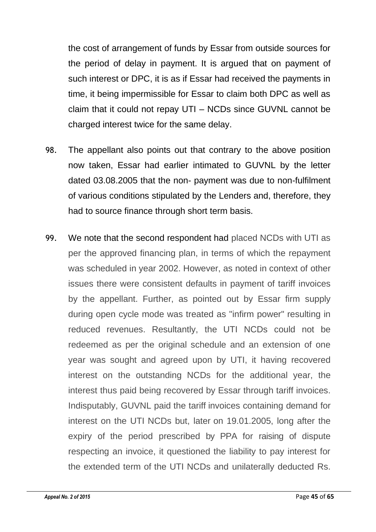the cost of arrangement of funds by Essar from outside sources for the period of delay in payment. It is argued that on payment of such interest or DPC, it is as if Essar had received the payments in time, it being impermissible for Essar to claim both DPC as well as claim that it could not repay UTI – NCDs since GUVNL cannot be charged interest twice for the same delay.

- 98. The appellant also points out that contrary to the above position now taken, Essar had earlier intimated to GUVNL by the letter dated 03.08.2005 that the non- payment was due to non-fulfilment of various conditions stipulated by the Lenders and, therefore, they had to source finance through short term basis.
- 99. We note that the second respondent had placed NCDs with UTI as per the approved financing plan, in terms of which the repayment was scheduled in year 2002. However, as noted in context of other issues there were consistent defaults in payment of tariff invoices by the appellant. Further, as pointed out by Essar firm supply during open cycle mode was treated as "infirm power" resulting in reduced revenues. Resultantly, the UTI NCDs could not be redeemed as per the original schedule and an extension of one year was sought and agreed upon by UTI, it having recovered interest on the outstanding NCDs for the additional year, the interest thus paid being recovered by Essar through tariff invoices. Indisputably, GUVNL paid the tariff invoices containing demand for interest on the UTI NCDs but, later on 19.01.2005, long after the expiry of the period prescribed by PPA for raising of dispute respecting an invoice, it questioned the liability to pay interest for the extended term of the UTI NCDs and unilaterally deducted Rs.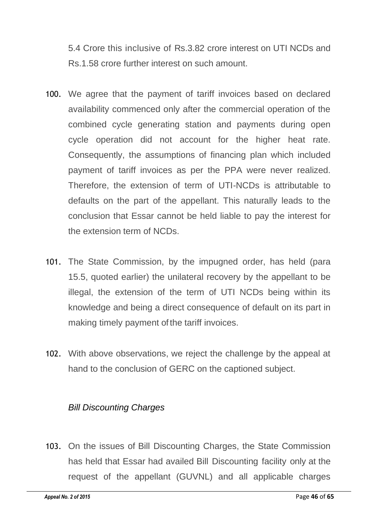5.4 Crore this inclusive of Rs.3.82 crore interest on UTI NCDs and Rs.1.58 crore further interest on such amount.

- 100. We agree that the payment of tariff invoices based on declared availability commenced only after the commercial operation of the combined cycle generating station and payments during open cycle operation did not account for the higher heat rate. Consequently, the assumptions of financing plan which included payment of tariff invoices as per the PPA were never realized. Therefore, the extension of term of UTI-NCDs is attributable to defaults on the part of the appellant. This naturally leads to the conclusion that Essar cannot be held liable to pay the interest for the extension term of NCDs.
- 101. The State Commission, by the impugned order, has held (para 15.5, quoted earlier) the unilateral recovery by the appellant to be illegal, the extension of the term of UTI NCDs being within its knowledge and being a direct consequence of default on its part in making timely payment of the tariff invoices.
- 102. With above observations, we reject the challenge by the appeal at hand to the conclusion of GERC on the captioned subject.

## *Bill Discounting Charges*

103. On the issues of Bill Discounting Charges, the State Commission has held that Essar had availed Bill Discounting facility only at the request of the appellant (GUVNL) and all applicable charges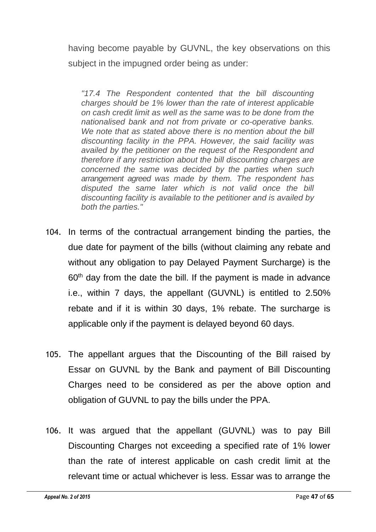having become payable by GUVNL, the key observations on this subject in the impugned order being as under:

*"17.4 The Respondent contented that the bill discounting charges should be 1% lower than the rate of interest applicable on cash credit limit as well as the same was to be done from the nationalised bank and not from private or co-operative banks. We note that as stated above there is no mention about the bill discounting facility in the PPA. However, the said facility was availed by the petitioner on the request of the Respondent and therefore if any restriction about the bill discounting charges are concerned the same was decided by the parties when such arrangement agreed was made by them. The respondent has disputed the same later which is not valid once the bill discounting facility is available to the petitioner and is availed by both the parties."*

- 104. In terms of the contractual arrangement binding the parties, the due date for payment of the bills (without claiming any rebate and without any obligation to pay Delayed Payment Surcharge) is the  $60<sup>th</sup>$  day from the date the bill. If the payment is made in advance i.e., within 7 days, the appellant (GUVNL) is entitled to 2.50% rebate and if it is within 30 days, 1% rebate. The surcharge is applicable only if the payment is delayed beyond 60 days.
- 105. The appellant argues that the Discounting of the Bill raised by Essar on GUVNL by the Bank and payment of Bill Discounting Charges need to be considered as per the above option and obligation of GUVNL to pay the bills under the PPA.
- 106. It was argued that the appellant (GUVNL) was to pay Bill Discounting Charges not exceeding a specified rate of 1% lower than the rate of interest applicable on cash credit limit at the relevant time or actual whichever is less. Essar was to arrange the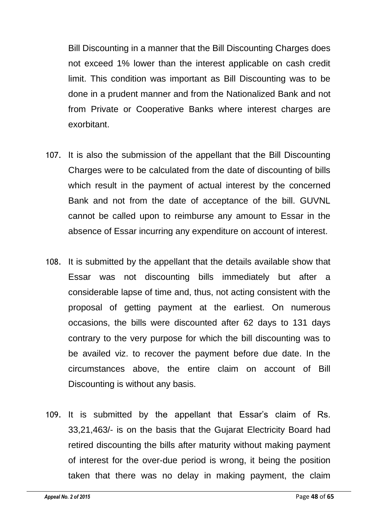Bill Discounting in a manner that the Bill Discounting Charges does not exceed 1% lower than the interest applicable on cash credit limit. This condition was important as Bill Discounting was to be done in a prudent manner and from the Nationalized Bank and not from Private or Cooperative Banks where interest charges are exorbitant.

- 107. It is also the submission of the appellant that the Bill Discounting Charges were to be calculated from the date of discounting of bills which result in the payment of actual interest by the concerned Bank and not from the date of acceptance of the bill. GUVNL cannot be called upon to reimburse any amount to Essar in the absence of Essar incurring any expenditure on account of interest.
- 108. It is submitted by the appellant that the details available show that Essar was not discounting bills immediately but after a considerable lapse of time and, thus, not acting consistent with the proposal of getting payment at the earliest. On numerous occasions, the bills were discounted after 62 days to 131 days contrary to the very purpose for which the bill discounting was to be availed viz. to recover the payment before due date. In the circumstances above, the entire claim on account of Bill Discounting is without any basis.
- 109. It is submitted by the appellant that Essar's claim of Rs. 33,21,463/- is on the basis that the Gujarat Electricity Board had retired discounting the bills after maturity without making payment of interest for the over-due period is wrong, it being the position taken that there was no delay in making payment, the claim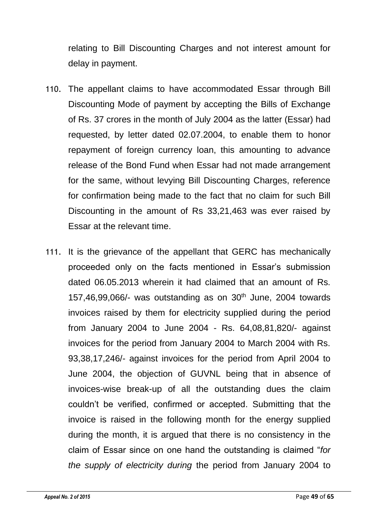relating to Bill Discounting Charges and not interest amount for delay in payment.

- 110. The appellant claims to have accommodated Essar through Bill Discounting Mode of payment by accepting the Bills of Exchange of Rs. 37 crores in the month of July 2004 as the latter (Essar) had requested, by letter dated 02.07.2004, to enable them to honor repayment of foreign currency loan, this amounting to advance release of the Bond Fund when Essar had not made arrangement for the same, without levying Bill Discounting Charges, reference for confirmation being made to the fact that no claim for such Bill Discounting in the amount of Rs 33,21,463 was ever raised by Essar at the relevant time.
- 111. It is the grievance of the appellant that GERC has mechanically proceeded only on the facts mentioned in Essar's submission dated 06.05.2013 wherein it had claimed that an amount of Rs. 157,46,99,066/- was outstanding as on  $30<sup>th</sup>$  June, 2004 towards invoices raised by them for electricity supplied during the period from January 2004 to June 2004 - Rs. 64,08,81,820/- against invoices for the period from January 2004 to March 2004 with Rs. 93,38,17,246/- against invoices for the period from April 2004 to June 2004, the objection of GUVNL being that in absence of invoices-wise break-up of all the outstanding dues the claim couldn't be verified, confirmed or accepted. Submitting that the invoice is raised in the following month for the energy supplied during the month, it is argued that there is no consistency in the claim of Essar since on one hand the outstanding is claimed "*for the supply of electricity during* the period from January 2004 to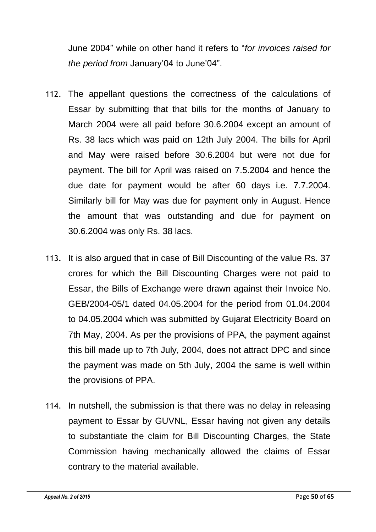June 2004" while on other hand it refers to "*for invoices raised for the period from* January'04 to June'04".

- 112. The appellant questions the correctness of the calculations of Essar by submitting that that bills for the months of January to March 2004 were all paid before 30.6.2004 except an amount of Rs. 38 lacs which was paid on 12th July 2004. The bills for April and May were raised before 30.6.2004 but were not due for payment. The bill for April was raised on 7.5.2004 and hence the due date for payment would be after 60 days i.e. 7.7.2004. Similarly bill for May was due for payment only in August. Hence the amount that was outstanding and due for payment on 30.6.2004 was only Rs. 38 lacs.
- 113. It is also argued that in case of Bill Discounting of the value Rs. 37 crores for which the Bill Discounting Charges were not paid to Essar, the Bills of Exchange were drawn against their Invoice No. GEB/2004-05/1 dated 04.05.2004 for the period from 01.04.2004 to 04.05.2004 which was submitted by Gujarat Electricity Board on 7th May, 2004. As per the provisions of PPA, the payment against this bill made up to 7th July, 2004, does not attract DPC and since the payment was made on 5th July, 2004 the same is well within the provisions of PPA.
- 114. In nutshell, the submission is that there was no delay in releasing payment to Essar by GUVNL, Essar having not given any details to substantiate the claim for Bill Discounting Charges, the State Commission having mechanically allowed the claims of Essar contrary to the material available.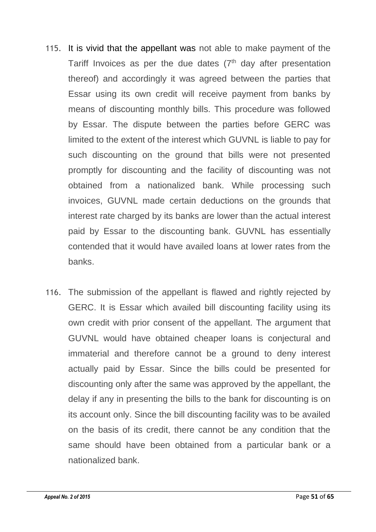- 115. It is vivid that the appellant was not able to make payment of the Tariff Invoices as per the due dates  $(7<sup>th</sup>$  day after presentation thereof) and accordingly it was agreed between the parties that Essar using its own credit will receive payment from banks by means of discounting monthly bills. This procedure was followed by Essar. The dispute between the parties before GERC was limited to the extent of the interest which GUVNL is liable to pay for such discounting on the ground that bills were not presented promptly for discounting and the facility of discounting was not obtained from a nationalized bank. While processing such invoices, GUVNL made certain deductions on the grounds that interest rate charged by its banks are lower than the actual interest paid by Essar to the discounting bank. GUVNL has essentially contended that it would have availed loans at lower rates from the banks.
- 116. The submission of the appellant is flawed and rightly rejected by GERC. It is Essar which availed bill discounting facility using its own credit with prior consent of the appellant. The argument that GUVNL would have obtained cheaper loans is conjectural and immaterial and therefore cannot be a ground to deny interest actually paid by Essar. Since the bills could be presented for discounting only after the same was approved by the appellant, the delay if any in presenting the bills to the bank for discounting is on its account only. Since the bill discounting facility was to be availed on the basis of its credit, there cannot be any condition that the same should have been obtained from a particular bank or a nationalized bank.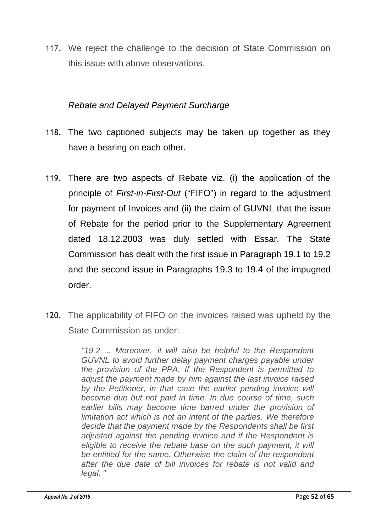117. We reject the challenge to the decision of State Commission on this issue with above observations.

## *Rebate and Delayed Payment Surcharge*

- 118. The two captioned subjects may be taken up together as they have a bearing on each other.
- 119. There are two aspects of Rebate viz. (i) the application of the principle of *First-in-First-Out* ("FIFO") in regard to the adjustment for payment of Invoices and (ii) the claim of GUVNL that the issue of Rebate for the period prior to the Supplementary Agreement dated 18.12.2003 was duly settled with Essar. The State Commission has dealt with the first issue in Paragraph 19.1 to 19.2 and the second issue in Paragraphs 19.3 to 19.4 of the impugned order.
- 120. The applicability of FIFO on the invoices raised was upheld by the State Commission as under:

*"19.2 ... Moreover, it will also be helpful to the Respondent GUVNL to avoid further delay payment charges payable under the provision of the PPA. If the Respondent is permitted to adjust the payment made by him against the last invoice raised by the Petitioner, in that case the earlier pending invoice will become due but not paid in time. In due course of time, such earlier bills may become time barred under the provision of limitation act which is not an intent of the parties. We therefore decide that the payment made by the Respondents shall be first adjusted against the pending invoice and if the Respondent is eligible to receive the rebate base on the such payment, it will be entitled for the same. Otherwise the claim of the respondent after the due date of bill invoices for rebate is not valid and legal. "*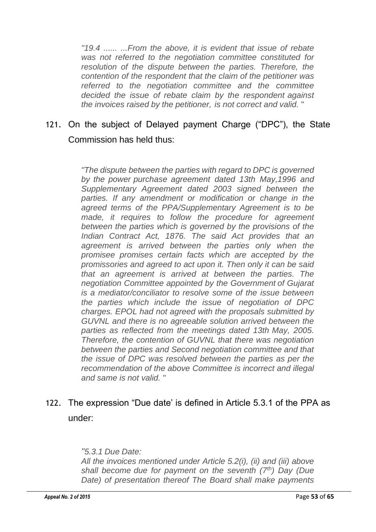*"19.4 ...... ...From the above, it is evident that issue of rebate was not referred to the negotiation committee constituted for resolution of the dispute between the parties. Therefore, the contention of the respondent that the claim of the petitioner was referred to the negotiation committee and the committee decided the issue of rebate claim by the respondent against the invoices raised by the petitioner, is not correct and valid.* "

# 121. On the subject of Delayed payment Charge ("DPC"), the State Commission has held thus:

*"The dispute between the parties with regard to DPC is governed by the power purchase agreement dated 13th May,1996 and Supplementary Agreement dated 2003 signed between the parties. If any amendment or modification or change in the agreed terms of the PPA/Supplementary Agreement is to be made, it requires to follow the procedure for agreement between the parties which is governed by the provisions of the Indian Contract Act, 1876. The said Act provides that an agreement is arrived between the parties only when the promisee promises certain facts which are accepted by the promissories and agreed to act upon it. Then only it can be said that an agreement is arrived at between the parties. The negotiation Committee appointed by the Government of Gujarat is a mediator/conciliator to resolve some of the issue between the parties which include the issue of negotiation of DPC charges. EPOL had not agreed with the proposals submitted by GUVNL and there is no agreeable solution arrived between the parties as reflected from the meetings dated 13th May, 2005. Therefore, the contention of GUVNL that there was negotiation between the parties and Second negotiation committee and that the issue of DPC was resolved between the parties as per the recommendation of the above Committee is incorrect and illegal and same is not valid.* "

# 122. The expression "Due date' is defined in Article 5.3.1 of the PPA as under:

#### *"5.3.1 Due Date:*

*All the invoices mentioned under Article 5.2(i), (ii) and (iii) above shall become due for payment on the seventh (7th) Day (Due Date) of presentation thereof The Board shall make payments*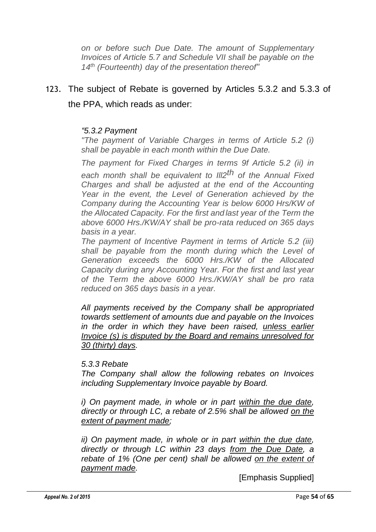*on or before such Due Date. The amount of Supplementary Invoices of Article 5.7 and Schedule VII shall be payable on the 14th (Fourteenth) day of the presentation thereof"*

# 123. The subject of Rebate is governed by Articles 5.3.2 and 5.3.3 of the PPA, which reads as under:

#### *"5.3.2 Payment*

*"The payment of Variable Charges in terms of Article 5.2 (i) shall be payable in each month within the Due Date.*

*The payment for Fixed Charges in terms 9f Article 5.2 (ii) in* 

*each month shall be equivalent to Ill2th of the Annual Fixed Charges and shall be adjusted at the end of the Accounting Year in the event, the Level of Generation achieved by the Company during the Accounting Year is below 6000 Hrs/KW of the Allocated Capacity. For the first and last year of the Term the above 6000 Hrs./KW/AY shall be pro-rata reduced on 365 days basis in a year.*

*The payment of Incentive Payment in terms of Article 5.2 (iii) shall be payable from the month during which the Level of Generation exceeds the 6000 Hrs./KW of the Allocated Capacity during any Accounting Year. For the first and last year of the Term the above 6000 Hrs./KW/AY shall be pro rata reduced on 365 days basis in a year.*

*All payments received by the Company shall be appropriated towards settlement of amounts due and payable on the Invoices in the order in which they have been raised, unless earlier Invoice (s) is disputed by the Board and remains unresolved for 30 (thirty) days.*

#### *5.3.3 Rebate*

*The Company shall allow the following rebates on Invoices including Supplementary Invoice payable by Board.*

*i) On payment made, in whole or in part within the due date, directly or through LC, a rebate of 2.5% shall be allowed on the extent of payment made;*

*ii) On payment made, in whole or in part within the due date, directly or through LC within 23 days from the Due Date, a rebate of 1% (One per cent) shall be allowed on the extent of payment made.*

[Emphasis Supplied]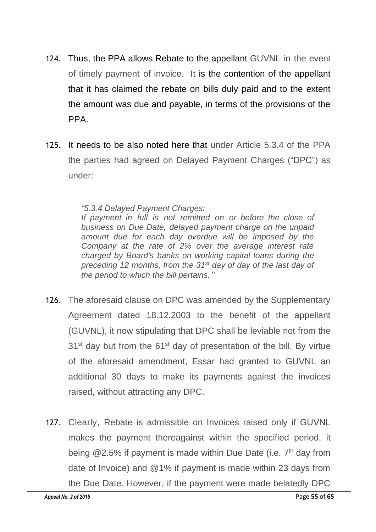- 124. Thus, the PPA allows Rebate to the appellant GUVNL in the event of timely payment of invoice. It is the contention of the appellant that it has claimed the rebate on bills duly paid and to the extent the amount was due and payable, in terms of the provisions of the PPA.
- 125. It needs to be also noted here that under Article 5.3.4 of the PPA the parties had agreed on Delayed Payment Charges ("DPC") as under:

#### *"5.3.4 Delayed Payment Charges:*

*If payment in full is not remitted on or before the close of business on Due Date, delayed payment charge on the unpaid amount due for each day overdue will be imposed by the Company at the rate of 2% over the average interest rate charged by Board's banks on working capital loans during the preceding 12 months, from the 31st day of day of the last day of the period to which the bill pertains.* "

- 126. The aforesaid clause on DPC was amended by the Supplementary Agreement dated 18.12.2003 to the benefit of the appellant (GUVNL), it now stipulating that DPC shall be leviable not from the  $31<sup>st</sup>$  day but from the  $61<sup>st</sup>$  day of presentation of the bill. By virtue of the aforesaid amendment, Essar had granted to GUVNL an additional 30 days to make its payments against the invoices raised, without attracting any DPC.
- 127. Clearly, Rebate is admissible on Invoices raised only if GUVNL makes the payment thereagainst within the specified period, it being  $@2.5\%$  if payment is made within Due Date (i.e.  $7<sup>th</sup>$  day from date of Invoice) and @1% if payment is made within 23 days from the Due Date. However, if the payment were made belatedly DPC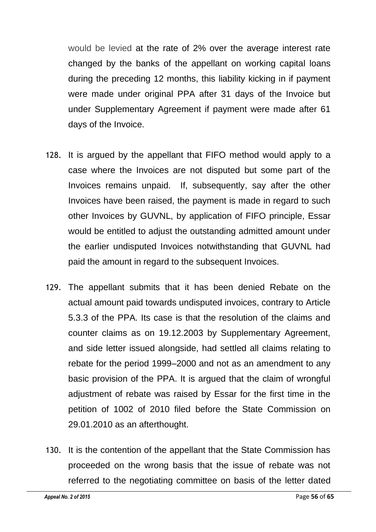would be levied at the rate of 2% over the average interest rate changed by the banks of the appellant on working capital loans during the preceding 12 months, this liability kicking in if payment were made under original PPA after 31 days of the Invoice but under Supplementary Agreement if payment were made after 61 days of the Invoice.

- 128. It is argued by the appellant that FIFO method would apply to a case where the Invoices are not disputed but some part of the Invoices remains unpaid. If, subsequently, say after the other Invoices have been raised, the payment is made in regard to such other Invoices by GUVNL, by application of FIFO principle, Essar would be entitled to adjust the outstanding admitted amount under the earlier undisputed Invoices notwithstanding that GUVNL had paid the amount in regard to the subsequent Invoices.
- 129. The appellant submits that it has been denied Rebate on the actual amount paid towards undisputed invoices, contrary to Article 5.3.3 of the PPA. Its case is that the resolution of the claims and counter claims as on 19.12.2003 by Supplementary Agreement, and side letter issued alongside, had settled all claims relating to rebate for the period 1999–2000 and not as an amendment to any basic provision of the PPA. It is argued that the claim of wrongful adjustment of rebate was raised by Essar for the first time in the petition of 1002 of 2010 filed before the State Commission on 29.01.2010 as an afterthought.
- 130. It is the contention of the appellant that the State Commission has proceeded on the wrong basis that the issue of rebate was not referred to the negotiating committee on basis of the letter dated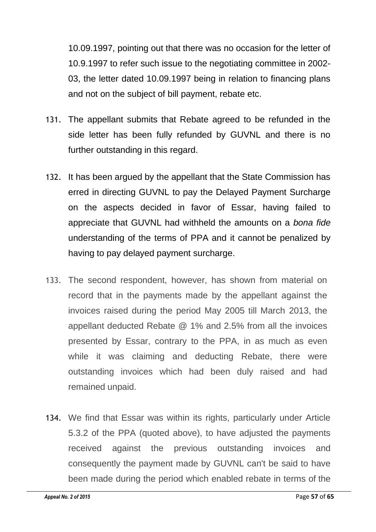10.09.1997, pointing out that there was no occasion for the letter of 10.9.1997 to refer such issue to the negotiating committee in 2002- 03, the letter dated 10.09.1997 being in relation to financing plans and not on the subject of bill payment, rebate etc.

- 131. The appellant submits that Rebate agreed to be refunded in the side letter has been fully refunded by GUVNL and there is no further outstanding in this regard.
- 132. It has been argued by the appellant that the State Commission has erred in directing GUVNL to pay the Delayed Payment Surcharge on the aspects decided in favor of Essar, having failed to appreciate that GUVNL had withheld the amounts on a *bona fide* understanding of the terms of PPA and it cannot be penalized by having to pay delayed payment surcharge.
- 133. The second respondent, however, has shown from material on record that in the payments made by the appellant against the invoices raised during the period May 2005 till March 2013, the appellant deducted Rebate @ 1% and 2.5% from all the invoices presented by Essar, contrary to the PPA, in as much as even while it was claiming and deducting Rebate, there were outstanding invoices which had been duly raised and had remained unpaid.
- 134. We find that Essar was within its rights, particularly under Article 5.3.2 of the PPA (quoted above), to have adjusted the payments received against the previous outstanding invoices and consequently the payment made by GUVNL can't be said to have been made during the period which enabled rebate in terms of the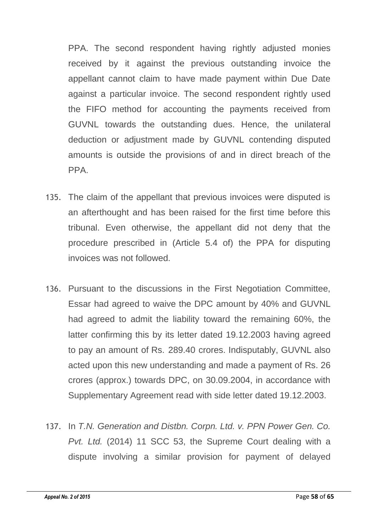PPA. The second respondent having rightly adjusted monies received by it against the previous outstanding invoice the appellant cannot claim to have made payment within Due Date against a particular invoice. The second respondent rightly used the FIFO method for accounting the payments received from GUVNL towards the outstanding dues. Hence, the unilateral deduction or adjustment made by GUVNL contending disputed amounts is outside the provisions of and in direct breach of the PPA.

- 135. The claim of the appellant that previous invoices were disputed is an afterthought and has been raised for the first time before this tribunal. Even otherwise, the appellant did not deny that the procedure prescribed in (Article 5.4 of) the PPA for disputing invoices was not followed.
- 136. Pursuant to the discussions in the First Negotiation Committee, Essar had agreed to waive the DPC amount by 40% and GUVNL had agreed to admit the liability toward the remaining 60%, the latter confirming this by its letter dated 19.12.2003 having agreed to pay an amount of Rs. 289.40 crores. Indisputably, GUVNL also acted upon this new understanding and made a payment of Rs. 26 crores (approx.) towards DPC, on 30.09.2004, in accordance with Supplementary Agreement read with side letter dated 19.12.2003.
- 137. In *T.N. Generation and Distbn. Corpn. Ltd. v. PPN Power Gen. Co. Pvt. Ltd.* (2014) 11 SCC 53, the Supreme Court dealing with a dispute involving a similar provision for payment of delayed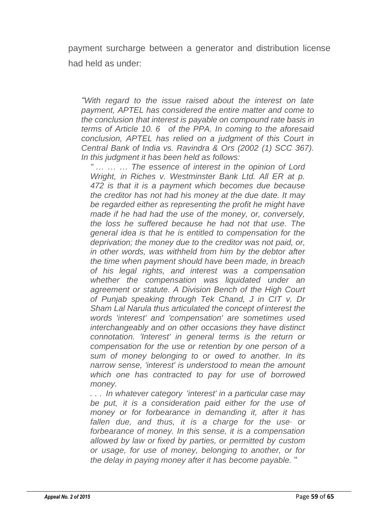payment surcharge between a generator and distribution license had held as under:

*"With regard to the issue raised about the interest on late payment, APTEL has considered the entire matter and come to the conclusion that interest is payable on compound rate basis in terms of Article 10. 6 of the PPA. In coming to the aforesaid conclusion, APTEL has relied on a judgment of this Court in Central Bank of India vs. Ravindra & Ors (2002 (1) SCC 367). In this judgment it has been held as follows:*

*" ... ... ... The essence of interest in the opinion of Lord Wright, in Riches v. Westminster Bank Ltd. All ER at p. 472 is that it is a payment which becomes due because the creditor has not had his money at the due date. It may be regarded either as representing the profit he might have made if he had had the use of the money, or, conversely, the loss he suffered because he had not that use. The general idea is that he is entitled to compensation for the deprivation; the money due to the creditor was not paid, or, in other words, was withheld from him by the debtor after the time when payment should have been made, in breach of his legal rights, and interest was a compensation whether the compensation was liquidated under an agreement or statute. A Division Bench of the High Court of Punjab speaking through Tek Chand, J in CIT v. Dr Sham Lal Narula thus articulated the concept of interest the words 'interest' and 'compensation' are sometimes used interchangeably and on other occasions they have distinct connotation. 'Interest' in general terms is the return or compensation for the use or retention by one person of a sum of money belonging to or owed to another. In its narrow sense, 'interest' is understood to mean the amount which one has contracted to pay for use of borrowed money.*

*. . . In whatever category 'interest' in a particular case may be put, it is a consideration paid either for the use of money or for forbearance in demanding it, after it has fallen due, and thus, it is a charge for the use· or forbearance of money. In this sense, it is a compensation allowed by law or fixed by parties, or permitted by custom or usage, for use of money, belonging to another, or for the delay in paying money after it has become payable.* "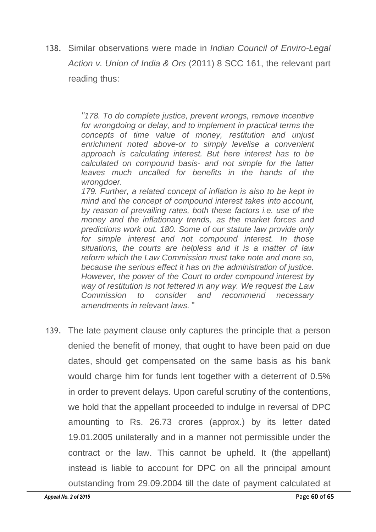138. Similar observations were made in *Indian Council of Enviro-Legal Action v. Union of India & Ors* (2011) 8 SCC 161, the relevant part reading thus:

> *"178. To do complete justice, prevent wrongs, remove incentive for wrongdoing or delay, and to implement in practical terms the concepts of time value of money, restitution and unjust enrichment noted above-or to simply levelise a convenient approach is calculating interest. But here interest has to be calculated on compound basis- and not simple for the latter leaves much uncalled for benefits in the hands of the wrongdoer.*

> *179. Further, a related concept of inflation is also to be kept in mind and the concept of compound interest takes into account, by reason of prevailing rates, both these factors i.e. use of the money and the inflationary trends, as the market forces and predictions work out. 180. Some of our statute law provide only for simple interest and not compound interest. In those situations, the courts are helpless and it is a matter of law reform which the Law Commission must take note and more so, because the serious effect it has on the administration of justice. However, the power of the Court to order compound interest by way of restitution is not fettered in any way. We request the Law Commission to consider and recommend necessary amendments in relevant laws.* "

139. The late payment clause only captures the principle that a person denied the benefit of money, that ought to have been paid on due dates, should get compensated on the same basis as his bank would charge him for funds lent together with a deterrent of 0.5% in order to prevent delays. Upon careful scrutiny of the contentions, we hold that the appellant proceeded to indulge in reversal of DPC amounting to Rs. 26.73 crores (approx.) by its letter dated 19.01.2005 unilaterally and in a manner not permissible under the contract or the law. This cannot be upheld. It (the appellant) instead is liable to account for DPC on all the principal amount outstanding from 29.09.2004 till the date of payment calculated at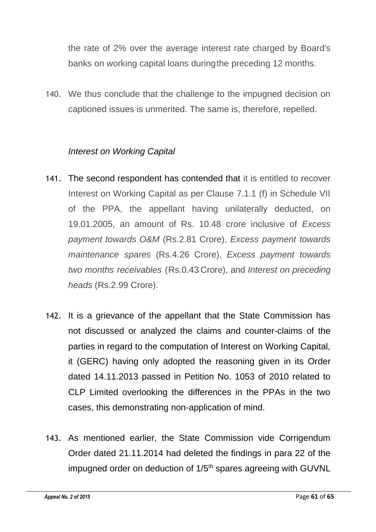the rate of 2% over the average interest rate charged by Board's banks on working capital loans duringthe preceding 12 months.

140. We thus conclude that the challenge to the impugned decision on captioned issues is unmerited. The same is, therefore, repelled.

## *Interest on Working Capital*

- 141. The second respondent has contended that it is entitled to recover Interest on Working Capital as per Clause 7.1.1 (f) in Schedule VII of the PPA, the appellant having unilaterally deducted, on 19.01.2005, an amount of Rs. 10.48 crore inclusive of *Excess payment towards O&M* (Rs.2.81 Crore), *Excess payment towards maintenance spares* (Rs.4.26 Crore), *Excess payment towards two months receivables* (Rs.0.43 Crore), and *Interest on preceding heads* (Rs.2.99 Crore).
- 142. It is a grievance of the appellant that the State Commission has not discussed or analyzed the claims and counter-claims of the parties in regard to the computation of Interest on Working Capital, it (GERC) having only adopted the reasoning given in its Order dated 14.11.2013 passed in Petition No. 1053 of 2010 related to CLP Limited overlooking the differences in the PPAs in the two cases, this demonstrating non-application of mind.
- 143. As mentioned earlier, the State Commission vide Corrigendum Order dated 21.11.2014 had deleted the findings in para 22 of the impugned order on deduction of 1/5<sup>th</sup> spares agreeing with GUVNL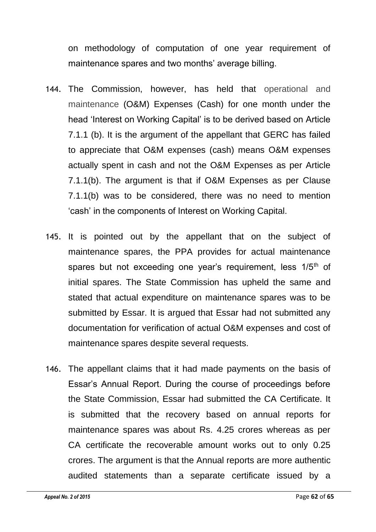on methodology of computation of one year requirement of maintenance spares and two months' average billing.

- 144. The Commission, however, has held that operational and maintenance (O&M) Expenses (Cash) for one month under the head 'Interest on Working Capital' is to be derived based on Article 7.1.1 (b). It is the argument of the appellant that GERC has failed to appreciate that O&M expenses (cash) means O&M expenses actually spent in cash and not the O&M Expenses as per Article 7.1.1(b). The argument is that if O&M Expenses as per Clause 7.1.1(b) was to be considered, there was no need to mention 'cash' in the components of Interest on Working Capital.
- 145. It is pointed out by the appellant that on the subject of maintenance spares, the PPA provides for actual maintenance spares but not exceeding one year's requirement, less  $1/5<sup>th</sup>$  of initial spares. The State Commission has upheld the same and stated that actual expenditure on maintenance spares was to be submitted by Essar. It is argued that Essar had not submitted any documentation for verification of actual O&M expenses and cost of maintenance spares despite several requests.
- 146. The appellant claims that it had made payments on the basis of Essar's Annual Report. During the course of proceedings before the State Commission, Essar had submitted the CA Certificate. It is submitted that the recovery based on annual reports for maintenance spares was about Rs. 4.25 crores whereas as per CA certificate the recoverable amount works out to only 0.25 crores. The argument is that the Annual reports are more authentic audited statements than a separate certificate issued by a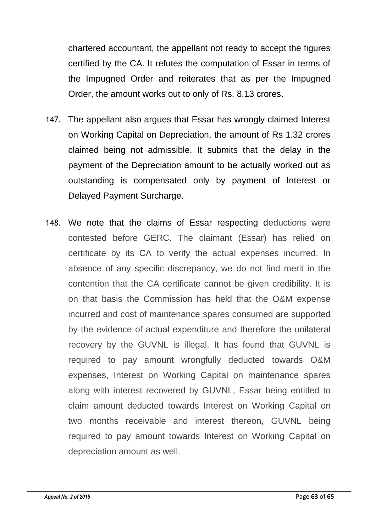chartered accountant, the appellant not ready to accept the figures certified by the CA. It refutes the computation of Essar in terms of the Impugned Order and reiterates that as per the Impugned Order, the amount works out to only of Rs. 8.13 crores.

- 147. The appellant also argues that Essar has wrongly claimed Interest on Working Capital on Depreciation, the amount of Rs 1.32 crores claimed being not admissible. It submits that the delay in the payment of the Depreciation amount to be actually worked out as outstanding is compensated only by payment of Interest or Delayed Payment Surcharge.
- 148. We note that the claims of Essar respecting deductions were contested before GERC. The claimant (Essar) has relied on certificate by its CA to verify the actual expenses incurred. In absence of any specific discrepancy, we do not find merit in the contention that the CA certificate cannot be given credibility. It is on that basis the Commission has held that the O&M expense incurred and cost of maintenance spares consumed are supported by the evidence of actual expenditure and therefore the unilateral recovery by the GUVNL is illegal. It has found that GUVNL is required to pay amount wrongfully deducted towards O&M expenses, Interest on Working Capital on maintenance spares along with interest recovered by GUVNL, Essar being entitled to claim amount deducted towards Interest on Working Capital on two months receivable and interest thereon, GUVNL being required to pay amount towards Interest on Working Capital on depreciation amount as well.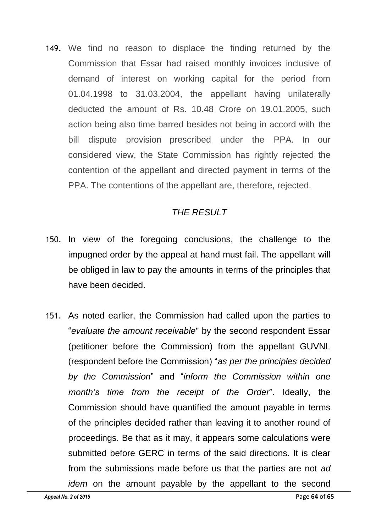149. We find no reason to displace the finding returned by the Commission that Essar had raised monthly invoices inclusive of demand of interest on working capital for the period from 01.04.1998 to 31.03.2004, the appellant having unilaterally deducted the amount of Rs. 10.48 Crore on 19.01.2005, such action being also time barred besides not being in accord with the bill dispute provision prescribed under the PPA. In our considered view, the State Commission has rightly rejected the contention of the appellant and directed payment in terms of the PPA. The contentions of the appellant are, therefore, rejected.

## *THE RESULT*

- 150. In view of the foregoing conclusions, the challenge to the impugned order by the appeal at hand must fail. The appellant will be obliged in law to pay the amounts in terms of the principles that have been decided.
- 151. As noted earlier, the Commission had called upon the parties to "*evaluate the amount receivable*" by the second respondent Essar (petitioner before the Commission) from the appellant GUVNL (respondent before the Commission) "*as per the principles decided by the Commission*" and "*inform the Commission within one month's time from the receipt of the Order*". Ideally, the Commission should have quantified the amount payable in terms of the principles decided rather than leaving it to another round of proceedings. Be that as it may, it appears some calculations were submitted before GERC in terms of the said directions. It is clear from the submissions made before us that the parties are not *ad idem* on the amount payable by the appellant to the second